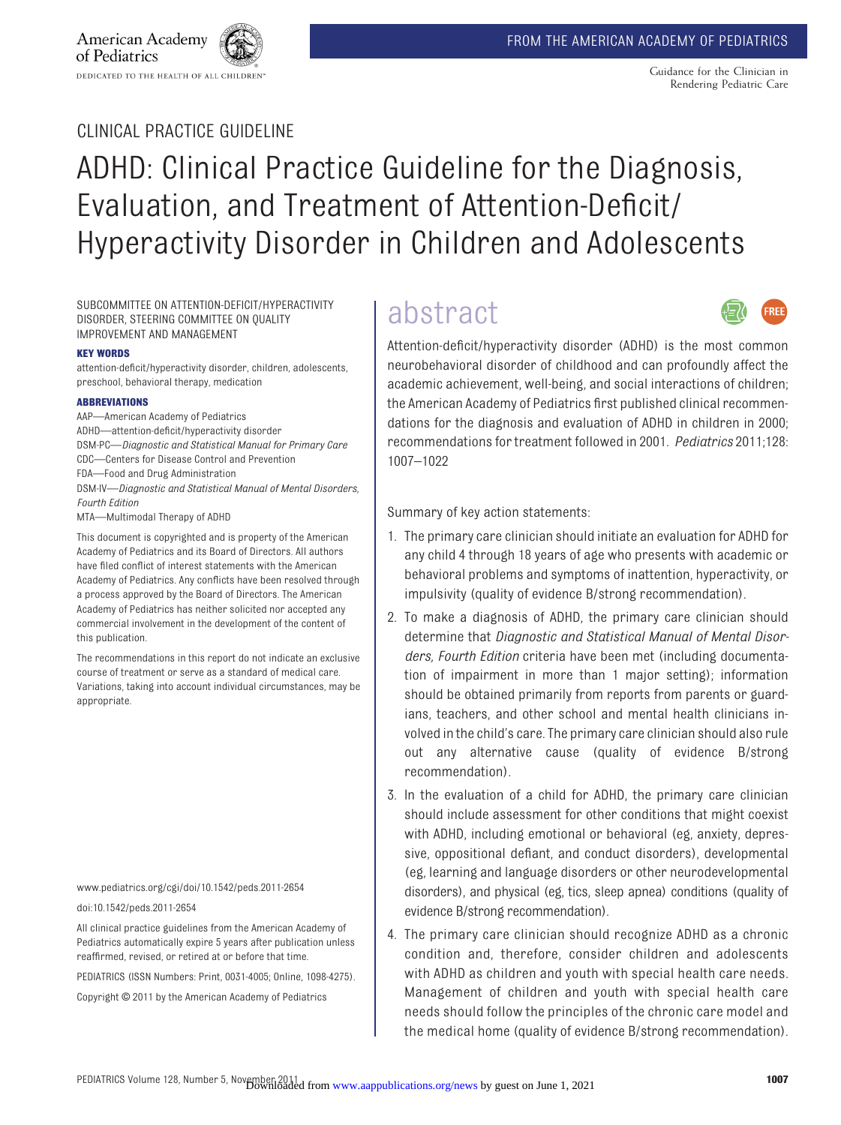

Guidance for the Clinician in Rendering Pediatric Care

## CLINICAL PRACTICE GUIDELINE

# ADHD: Clinical Practice Guideline for the Diagnosis, Evaluation, and Treatment of Attention-Deficit/ Hyperactivity Disorder in Children and Adolescents

SUBCOMMITTEE ON ATTENTION-DEFICIT/HYPERACTIVITY DISORDER, STEERING COMMITTEE ON QUALITY IMPROVEMENT AND MANAGEMENT

#### **KEY WORDS**

attention-deficit/hyperactivity disorder, children, adolescents, preschool, behavioral therapy, medication

#### **ABBREVIATIONS**

AAP—American Academy of Pediatrics ADHD—attention-deficit/hyperactivity disorder DSM-PC—*Diagnostic and Statistical Manual for Primary Care* CDC—Centers for Disease Control and Prevention FDA—Food and Drug Administration DSM-IV—*Diagnostic and Statistical Manual of Mental Disorders, Fourth Edition*

MTA—Multimodal Therapy of ADHD

This document is copyrighted and is property of the American Academy of Pediatrics and its Board of Directors. All authors have filed conflict of interest statements with the American Academy of Pediatrics. Any conflicts have been resolved through a process approved by the Board of Directors. The American Academy of Pediatrics has neither solicited nor accepted any commercial involvement in the development of the content of this publication.

The recommendations in this report do not indicate an exclusive course of treatment or serve as a standard of medical care. Variations, taking into account individual circumstances, may be appropriate.

www.pediatrics.org/cgi/doi/10.1542/peds.2011-2654

doi:10.1542/peds.2011-2654

All clinical practice guidelines from the American Academy of Pediatrics automatically expire 5 years after publication unless reaffirmed, revised, or retired at or before that time.

PEDIATRICS (ISSN Numbers: Print, 0031-4005; Online, 1098-4275).

Copyright © 2011 by the American Academy of Pediatrics

# abstract **<sup>+</sup>**



Attention-deficit/hyperactivity disorder (ADHD) is the most common neurobehavioral disorder of childhood and can profoundly affect the academic achievement, well-being, and social interactions of children; the American Academy of Pediatrics first published clinical recommendations for the diagnosis and evaluation of ADHD in children in 2000; recommendations for treatment followed in 2001. *Pediatrics* 2011;128: 1007–1022

Summary of key action statements:

- 1. The primary care clinician should initiate an evaluation for ADHD for any child 4 through 18 years of age who presents with academic or behavioral problems and symptoms of inattention, hyperactivity, or impulsivity (quality of evidence B/strong recommendation).
- 2. To make a diagnosis of ADHD, the primary care clinician should determine that *Diagnostic and Statistical Manual of Mental Disorders, Fourth Edition* criteria have been met (including documentation of impairment in more than 1 major setting); information should be obtained primarily from reports from parents or guardians, teachers, and other school and mental health clinicians involved in the child's care. The primary care clinician should also rule out any alternative cause (quality of evidence B/strong recommendation).
- 3. In the evaluation of a child for ADHD, the primary care clinician should include assessment for other conditions that might coexist with ADHD, including emotional or behavioral (eg, anxiety, depressive, oppositional defiant, and conduct disorders), developmental (eg, learning and language disorders or other neurodevelopmental disorders), and physical (eg, tics, sleep apnea) conditions (quality of evidence B/strong recommendation).
- 4. The primary care clinician should recognize ADHD as a chronic condition and, therefore, consider children and adolescents with ADHD as children and youth with special health care needs. Management of children and youth with special health care needs should follow the principles of the chronic care model and the medical home (quality of evidence B/strong recommendation).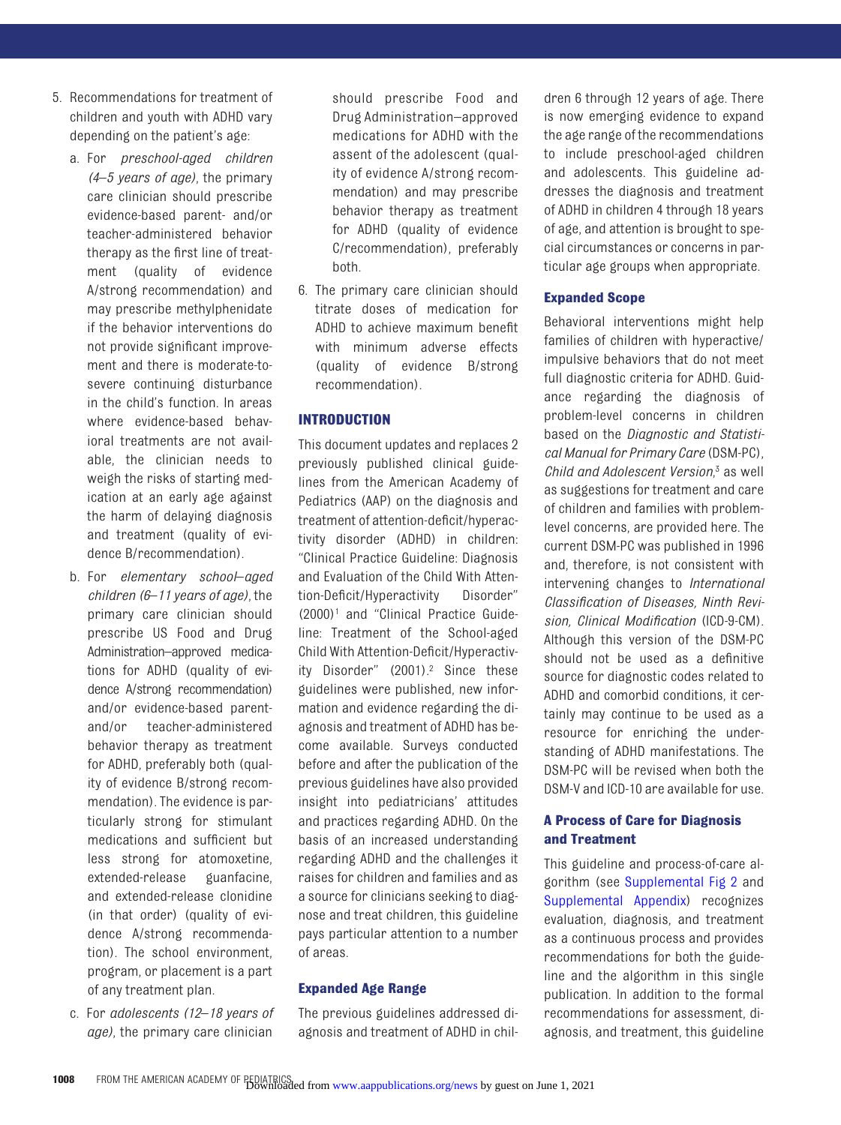- 5. Recommendations for treatment of children and youth with ADHD vary depending on the patient's age:
	- a. For *preschool-aged children (4*–*5 years of age)*, the primary care clinician should prescribe evidence-based parent- and/or teacher-administered behavior therapy as the first line of treatment (quality of evidence A/strong recommendation) and may prescribe methylphenidate if the behavior interventions do not provide significant improvement and there is moderate-tosevere continuing disturbance in the child's function. In areas where evidence-based behavioral treatments are not available, the clinician needs to weigh the risks of starting medication at an early age against the harm of delaying diagnosis and treatment (quality of evidence B/recommendation).
	- b. For *elementary school*–*aged children (6*–*11 years of age)*, the primary care clinician should prescribe US Food and Drug Administration–approved medications for ADHD (quality of evidence A/strong recommendation) and/or evidence-based parentand/or teacher-administered behavior therapy as treatment for ADHD, preferably both (quality of evidence B/strong recommendation). The evidence is particularly strong for stimulant medications and sufficient but less strong for atomoxetine, extended-release guanfacine, and extended-release clonidine (in that order) (quality of evidence A/strong recommendation). The school environment, program, or placement is a part of any treatment plan.
	- c. For *adolescents (12*–*18 years of age)*, the primary care clinician

should prescribe Food and Drug Administration–approved medications for ADHD with the assent of the adolescent (quality of evidence A/strong recommendation) and may prescribe behavior therapy as treatment for ADHD (quality of evidence C/recommendation), preferably both.

6. The primary care clinician should titrate doses of medication for ADHD to achieve maximum benefit with minimum adverse effects (quality of evidence B/strong recommendation).

## **INTRODUCTION**

This document updates and replaces 2 previously published clinical guidelines from the American Academy of Pediatrics (AAP) on the diagnosis and treatment of attention-deficit/hyperactivity disorder (ADHD) in children: "Clinical Practice Guideline: Diagnosis and Evaluation of the Child With Attention-Deficit/Hyperactivity Disorder" (2000)<sup>1</sup> and "Clinical Practice Guideline: Treatment of the School-aged Child With Attention-Deficit/Hyperactivity Disorder" (2001).<sup>2</sup> Since these guidelines were published, new information and evidence regarding the diagnosis and treatment of ADHD has become available. Surveys conducted before and after the publication of the previous guidelines have also provided insight into pediatricians' attitudes and practices regarding ADHD. On the basis of an increased understanding regarding ADHD and the challenges it raises for children and families and as a source for clinicians seeking to diagnose and treat children, this guideline pays particular attention to a number of areas.

### **Expanded Age Range**

The previous guidelines addressed diagnosis and treatment of ADHD in children 6 through 12 years of age. There is now emerging evidence to expand the age range of the recommendations to include preschool-aged children and adolescents. This guideline addresses the diagnosis and treatment of ADHD in children 4 through 18 years of age, and attention is brought to special circumstances or concerns in particular age groups when appropriate.

## **Expanded Scope**

Behavioral interventions might help families of children with hyperactive/ impulsive behaviors that do not meet full diagnostic criteria for ADHD. Guidance regarding the diagnosis of problem-level concerns in children based on the *Diagnostic and Statistical Manual for Primary Care* (DSM-PC), *Child and Adolescent Version*, <sup>3</sup> as well as suggestions for treatment and care of children and families with problemlevel concerns, are provided here. The current DSM-PC was published in 1996 and, therefore, is not consistent with intervening changes to *International Classification of Diseases, Ninth Revision, Clinical Modification* (ICD-9-CM). Although this version of the DSM-PC should not be used as a definitive source for diagnostic codes related to ADHD and comorbid conditions, it certainly may continue to be used as a resource for enriching the understanding of ADHD manifestations. The DSM-PC will be revised when both the DSM-V and ICD-10 are available for use.

## **A Process of Care for Diagnosis and Treatment**

This guideline and process-of-care algorithm (see [Supplemental Fig 2](http://pediatrics.aappublications.org/content/128/5/1007/suppl/DC1) and [Supplemental Appendix\)](http://pediatrics.aappublications.org/content/128/5/1007/suppl/DC1) recognizes evaluation, diagnosis, and treatment as a continuous process and provides recommendations for both the guideline and the algorithm in this single publication. In addition to the formal recommendations for assessment, diagnosis, and treatment, this guideline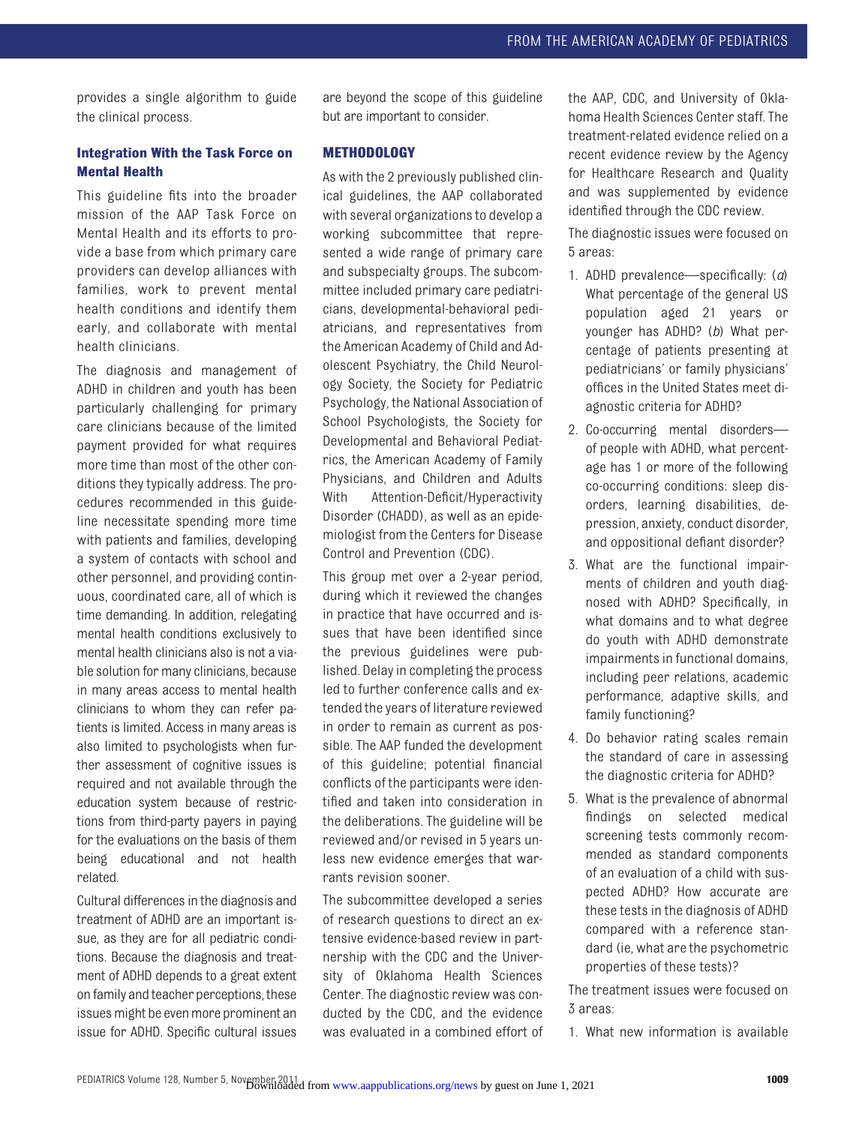provides a single algorithm to guide the clinical process.

## **Integration With the Task Force on Mental Health**

This guideline fits into the broader mission of the AAP Task Force on Mental Health and its efforts to provide a base from which primary care providers can develop alliances with families, work to prevent mental health conditions and identify them early, and collaborate with mental health clinicians.

The diagnosis and management of ADHD in children and youth has been particularly challenging for primary care clinicians because of the limited payment provided for what requires more time than most of the other conditions they typically address. The procedures recommended in this guideline necessitate spending more time with patients and families, developing a system of contacts with school and other personnel, and providing continuous, coordinated care, all of which is time demanding. In addition, relegating mental health conditions exclusively to mental health clinicians also is not a viable solution for many clinicians, because in many areas access to mental health clinicians to whom they can refer patients is limited. Access in many areas is also limited to psychologists when further assessment of cognitive issues is required and not available through the education system because of restrictions from third-party payers in paying for the evaluations on the basis of them being educational and not health related.

Cultural differences in the diagnosis and treatment of ADHD are an important issue, as they are for all pediatric conditions. Because the diagnosis and treatment of ADHD depends to a great extent on family and teacher perceptions, these issues might be even more prominent an issue for ADHD. Specific cultural issues

are beyond the scope of this guideline but are important to consider.

## **METHODOLOGY**

As with the 2 previously published clinical guidelines, the AAP collaborated with several organizations to develop a working subcommittee that represented a wide range of primary care and subspecialty groups. The subcommittee included primary care pediatricians, developmental-behavioral pediatricians, and representatives from the American Academy of Child and Adolescent Psychiatry, the Child Neurology Society, the Society for Pediatric Psychology, the National Association of School Psychologists, the Society for Developmental and Behavioral Pediatrics, the American Academy of Family Physicians, and Children and Adults With Attention-Deficit/Hyperactivity Disorder (CHADD), as well as an epidemiologist from the Centers for Disease Control and Prevention (CDC).

This group met over a 2-year period, during which it reviewed the changes in practice that have occurred and issues that have been identified since the previous guidelines were published. Delay in completing the process led to further conference calls and extended the years of literature reviewed in order to remain as current as possible. The AAP funded the development of this guideline; potential financial conflicts of the participants were identified and taken into consideration in the deliberations. The guideline will be reviewed and/or revised in 5 years unless new evidence emerges that warrants revision sooner.

The subcommittee developed a series of research questions to direct an extensive evidence-based review in partnership with the CDC and the University of Oklahoma Health Sciences Center. The diagnostic review was conducted by the CDC, and the evidence was evaluated in a combined effort of the AAP, CDC, and University of Oklahoma Health Sciences Center staff. The treatment-related evidence relied on a recent evidence review by the Agency for Healthcare Research and Quality and was supplemented by evidence identified through the CDC review.

The diagnostic issues were focused on 5 areas:

- 1. ADHD prevalence—specifically: (*a*) What percentage of the general US population aged 21 years or younger has ADHD? (*b*) What percentage of patients presenting at pediatricians' or family physicians' offices in the United States meet diagnostic criteria for ADHD?
- 2. Co-occurring mental disorders of people with ADHD, what percentage has 1 or more of the following co-occurring conditions: sleep disorders, learning disabilities, depression, anxiety, conduct disorder, and oppositional defiant disorder?
- 3. What are the functional impairments of children and youth diagnosed with ADHD? Specifically, in what domains and to what degree do youth with ADHD demonstrate impairments in functional domains, including peer relations, academic performance, adaptive skills, and family functioning?
- 4. Do behavior rating scales remain the standard of care in assessing the diagnostic criteria for ADHD?
- 5. What is the prevalence of abnormal findings on selected medical screening tests commonly recommended as standard components of an evaluation of a child with suspected ADHD? How accurate are these tests in the diagnosis of ADHD compared with a reference standard (ie, what are the psychometric properties of these tests)?

The treatment issues were focused on 3 areas:

1. What new information is available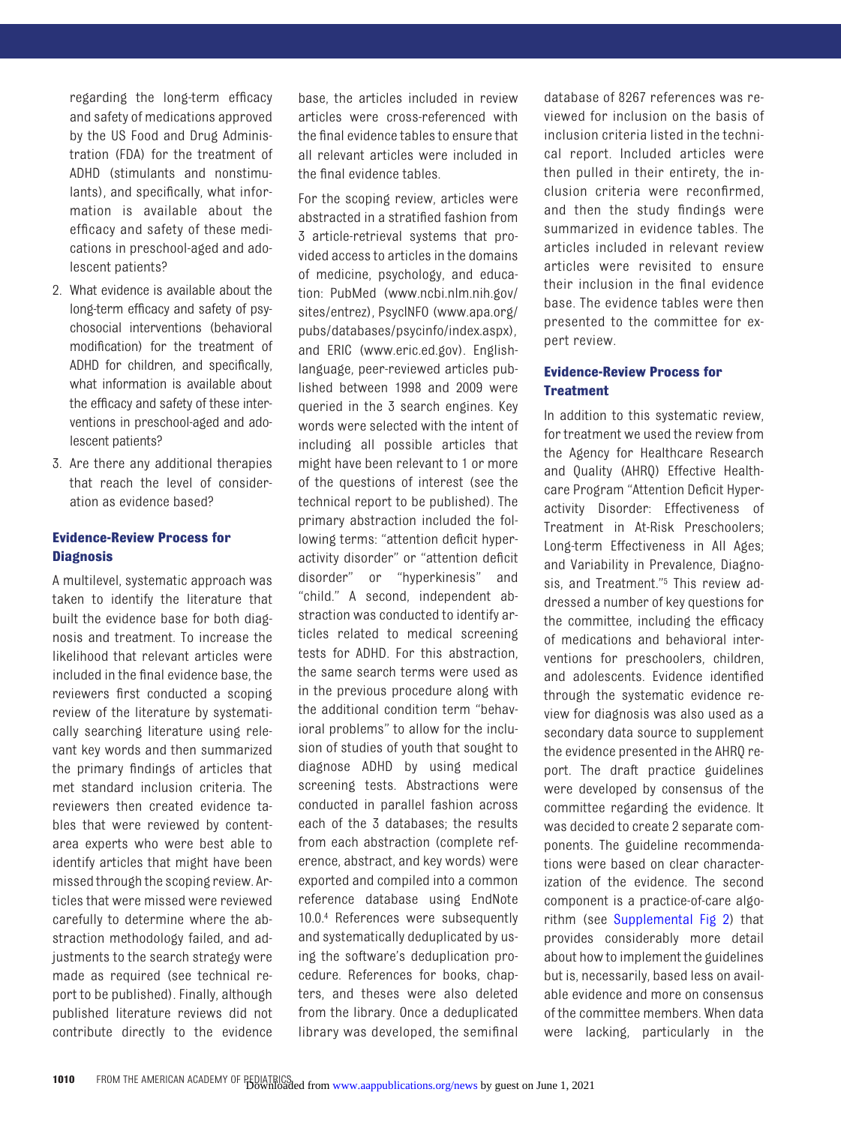regarding the long-term efficacy and safety of medications approved by the US Food and Drug Administration (FDA) for the treatment of ADHD (stimulants and nonstimulants), and specifically, what information is available about the efficacy and safety of these medications in preschool-aged and adolescent patients?

- 2. What evidence is available about the long-term efficacy and safety of psychosocial interventions (behavioral modification) for the treatment of ADHD for children, and specifically, what information is available about the efficacy and safety of these interventions in preschool-aged and adolescent patients?
- 3. Are there any additional therapies that reach the level of consideration as evidence based?

## **Evidence-Review Process for Diagnosis**

A multilevel, systematic approach was taken to identify the literature that built the evidence base for both diagnosis and treatment. To increase the likelihood that relevant articles were included in the final evidence base, the reviewers first conducted a scoping review of the literature by systematically searching literature using relevant key words and then summarized the primary findings of articles that met standard inclusion criteria. The reviewers then created evidence tables that were reviewed by contentarea experts who were best able to identify articles that might have been missed through the scoping review. Articles that were missed were reviewed carefully to determine where the abstraction methodology failed, and adjustments to the search strategy were made as required (see technical report to be published). Finally, although published literature reviews did not contribute directly to the evidence

base, the articles included in review articles were cross-referenced with the final evidence tables to ensure that all relevant articles were included in the final evidence tables.

For the scoping review, articles were abstracted in a stratified fashion from 3 article-retrieval systems that provided access to articles in the domains of medicine, psychology, and education: PubMed [\(www.ncbi.nlm.nih.gov/](www.ncbi.nlm.nih.gov/sites/entrez) [sites/entrez\)](www.ncbi.nlm.nih.gov/sites/entrez), PsycINFO [\(www.apa.org/](www.apa.org/pubs/databases/psycinfo/index.aspx) [pubs/databases/psycinfo/index.aspx\)](www.apa.org/pubs/databases/psycinfo/index.aspx), and ERIC [\(www.eric.ed.gov\)](www.eric.ed.gov). Englishlanguage, peer-reviewed articles published between 1998 and 2009 were queried in the 3 search engines. Key words were selected with the intent of including all possible articles that might have been relevant to 1 or more of the questions of interest (see the technical report to be published). The primary abstraction included the following terms: "attention deficit hyperactivity disorder" or "attention deficit disorder" or "hyperkinesis" and "child." A second, independent abstraction was conducted to identify articles related to medical screening tests for ADHD. For this abstraction, the same search terms were used as in the previous procedure along with the additional condition term "behavioral problems" to allow for the inclusion of studies of youth that sought to diagnose ADHD by using medical screening tests. Abstractions were conducted in parallel fashion across each of the 3 databases; the results from each abstraction (complete reference, abstract, and key words) were exported and compiled into a common reference database using EndNote 10.0.4 References were subsequently and systematically deduplicated by using the software's deduplication procedure. References for books, chapters, and theses were also deleted from the library. Once a deduplicated library was developed, the semifinal

database of 8267 references was reviewed for inclusion on the basis of inclusion criteria listed in the technical report. Included articles were then pulled in their entirety, the inclusion criteria were reconfirmed, and then the study findings were summarized in evidence tables. The articles included in relevant review articles were revisited to ensure their inclusion in the final evidence base. The evidence tables were then presented to the committee for expert review.

## **Evidence-Review Process for Treatment**

In addition to this systematic review, for treatment we used the review from the Agency for Healthcare Research and Quality (AHRQ) Effective Healthcare Program "Attention Deficit Hyperactivity Disorder: Effectiveness of Treatment in At-Risk Preschoolers; Long-term Effectiveness in All Ages; and Variability in Prevalence, Diagnosis, and Treatment."5 This review addressed a number of key questions for the committee, including the efficacy of medications and behavioral interventions for preschoolers, children, and adolescents. Evidence identified through the systematic evidence review for diagnosis was also used as a secondary data source to supplement the evidence presented in the AHRQ report. The draft practice guidelines were developed by consensus of the committee regarding the evidence. It was decided to create 2 separate components. The guideline recommendations were based on clear characterization of the evidence. The second component is a practice-of-care algorithm (see [Supplemental Fig 2\)](http://pediatrics.aappublications.org/content/128/5/1007/suppl/DC1) that provides considerably more detail about how to implement the guidelines but is, necessarily, based less on available evidence and more on consensus of the committee members. When data were lacking, particularly in the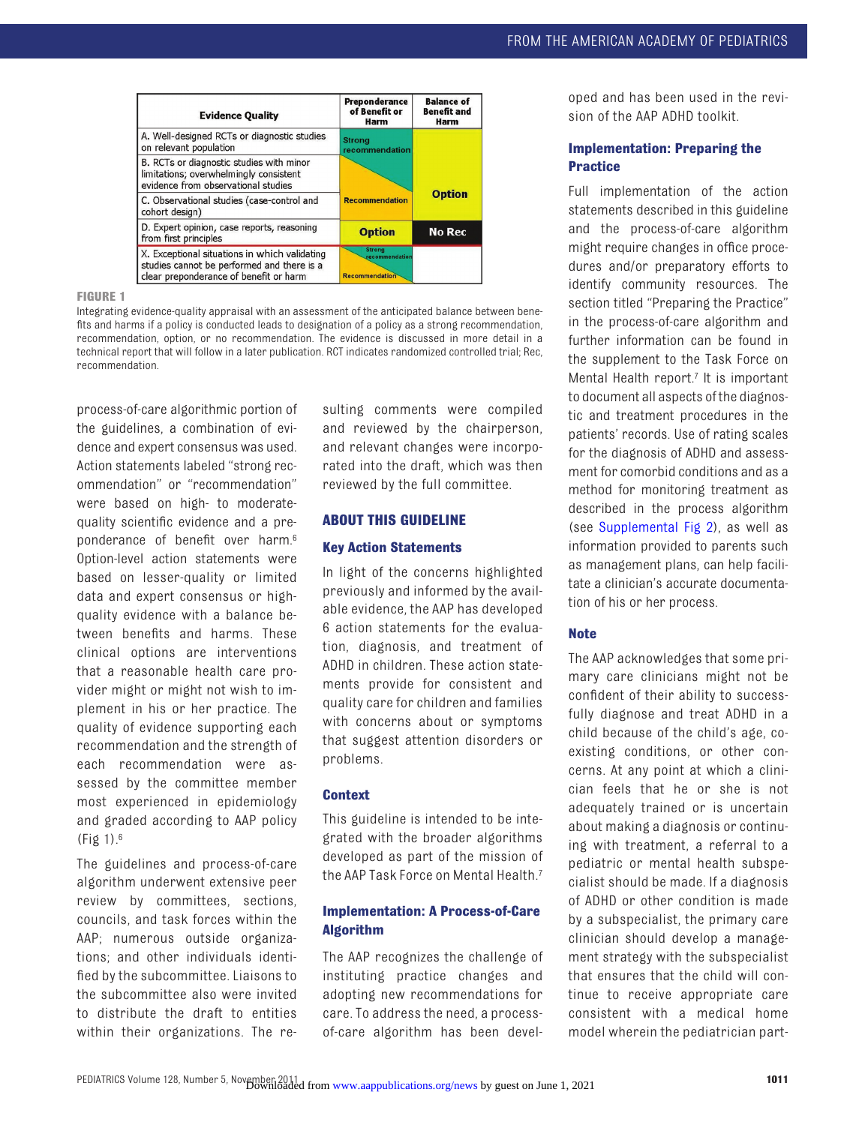| <b>Evidence Quality</b>                                                                                                               | Preponderance<br>of Benefit or<br>Harm           | <b>Balance of</b><br><b>Benefit and</b><br>Harm |
|---------------------------------------------------------------------------------------------------------------------------------------|--------------------------------------------------|-------------------------------------------------|
| A. Well-designed RCTs or diagnostic studies<br>on relevant population                                                                 | Strong<br>recommendation                         |                                                 |
| B. RCTs or diagnostic studies with minor<br>limitations; overwhelmingly consistent<br>evidence from observational studies             |                                                  |                                                 |
| C. Observational studies (case-control and<br>cohort design)                                                                          | <b>Recommendation</b>                            | <b>Option</b>                                   |
| D. Expert opinion, case reports, reasoning<br>from first principles                                                                   | <b>Option</b>                                    | <b>No Rec</b>                                   |
| X. Exceptional situations in which validating<br>studies cannot be performed and there is a<br>clear preponderance of benefit or harm | <b>Strong</b><br>ecommendation<br>Recommendation |                                                 |

#### **FIGURE 1**

Integrating evidence-quality appraisal with an assessment of the anticipated balance between benefits and harms if a policy is conducted leads to designation of a policy as a strong recommendation, recommendation, option, or no recommendation. The evidence is discussed in more detail in a technical report that will follow in a later publication. RCT indicates randomized controlled trial; Rec, recommendation.

process-of-care algorithmic portion of the guidelines, a combination of evidence and expert consensus was used. Action statements labeled "strong recommendation" or "recommendation" were based on high- to moderatequality scientific evidence and a preponderance of benefit over harm.6 Option-level action statements were based on lesser-quality or limited data and expert consensus or highquality evidence with a balance between benefits and harms. These clinical options are interventions that a reasonable health care provider might or might not wish to implement in his or her practice. The quality of evidence supporting each recommendation and the strength of each recommendation were assessed by the committee member most experienced in epidemiology and graded according to AAP policy (Fig 1).6

The guidelines and process-of-care algorithm underwent extensive peer review by committees, sections, councils, and task forces within the AAP; numerous outside organizations; and other individuals identified by the subcommittee. Liaisons to the subcommittee also were invited to distribute the draft to entities within their organizations. The resulting comments were compiled and reviewed by the chairperson, and relevant changes were incorporated into the draft, which was then reviewed by the full committee.

## **ABOUT THIS GUIDELINE**

## **Key Action Statements**

In light of the concerns highlighted previously and informed by the available evidence, the AAP has developed 6 action statements for the evaluation, diagnosis, and treatment of ADHD in children. These action statements provide for consistent and quality care for children and families with concerns about or symptoms that suggest attention disorders or problems.

#### **Context**

This guideline is intended to be integrated with the broader algorithms developed as part of the mission of the AAP Task Force on Mental Health.<sup>7</sup>

### **Implementation: A Process-of-Care Algorithm**

The AAP recognizes the challenge of instituting practice changes and adopting new recommendations for care. To address the need, a processof-care algorithm has been developed and has been used in the revision of the AAP ADHD toolkit.

## **Implementation: Preparing the Practice**

Full implementation of the action statements described in this guideline and the process-of-care algorithm might require changes in office procedures and/or preparatory efforts to identify community resources. The section titled "Preparing the Practice" in the process-of-care algorithm and further information can be found in the supplement to the Task Force on Mental Health report.<sup>7</sup> It is important to document all aspects of the diagnostic and treatment procedures in the patients' records. Use of rating scales for the diagnosis of ADHD and assessment for comorbid conditions and as a method for monitoring treatment as described in the process algorithm (see [Supplemental Fig 2\)](http://pediatrics.aappublications.org/content/128/5/1007/suppl/DC1), as well as information provided to parents such as management plans, can help facilitate a clinician's accurate documentation of his or her process.

#### **Note**

The AAP acknowledges that some primary care clinicians might not be confident of their ability to successfully diagnose and treat ADHD in a child because of the child's age, coexisting conditions, or other concerns. At any point at which a clinician feels that he or she is not adequately trained or is uncertain about making a diagnosis or continuing with treatment, a referral to a pediatric or mental health subspecialist should be made. If a diagnosis of ADHD or other condition is made by a subspecialist, the primary care clinician should develop a management strategy with the subspecialist that ensures that the child will continue to receive appropriate care consistent with a medical home model wherein the pediatrician part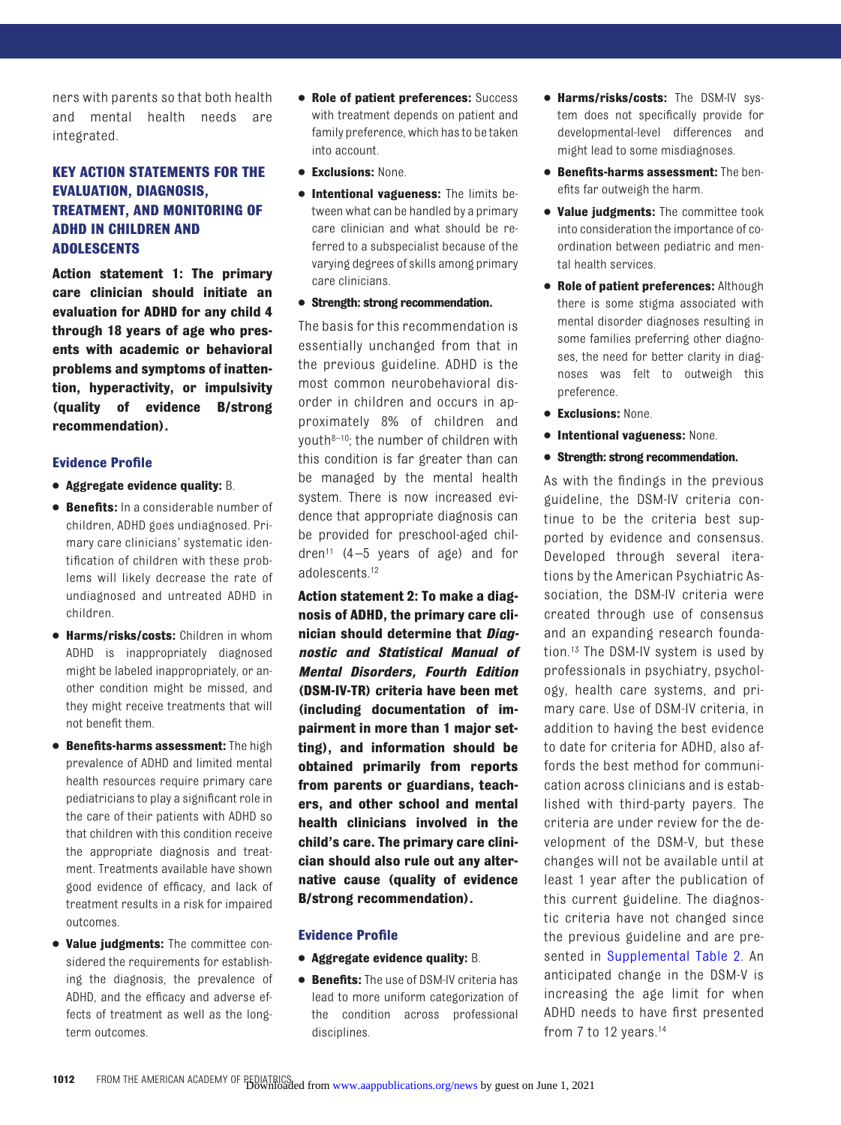ners with parents so that both health and mental health needs are integrated.

## **KEY ACTION STATEMENTS FOR THE EVALUATION, DIAGNOSIS, TREATMENT, AND MONITORING OF ADHD IN CHILDREN AND ADOLESCENTS**

**Action statement 1: The primary care clinician should initiate an evaluation for ADHD for any child 4 through 18 years of age who presents with academic or behavioral problems and symptoms of inattention, hyperactivity, or impulsivity (quality of evidence B/strong recommendation).**

#### **Evidence Profile**

- **Aggregate evidence quality:** B.
- **Benefits:** In a considerable number of children, ADHD goes undiagnosed. Primary care clinicians' systematic identification of children with these problems will likely decrease the rate of undiagnosed and untreated ADHD in children.
- **Harms/risks/costs:** Children in whom ADHD is inappropriately diagnosed might be labeled inappropriately, or another condition might be missed, and they might receive treatments that will not benefit them.
- **Benefits-harms assessment:** The high prevalence of ADHD and limited mental health resources require primary care pediatricians to play a significant role in the care of their patients with ADHD so that children with this condition receive the appropriate diagnosis and treatment. Treatments available have shown good evidence of efficacy, and lack of treatment results in a risk for impaired outcomes.
- **Value judgments:** The committee considered the requirements for establishing the diagnosis, the prevalence of ADHD, and the efficacy and adverse effects of treatment as well as the longterm outcomes.
- **Role of patient preferences:** Success with treatment depends on patient and family preference, which has to be taken into account.
- **Exclusions:** None.
- **Intentional vagueness:** The limits between what can be handled by a primary care clinician and what should be referred to a subspecialist because of the varying degrees of skills among primary care clinicians.
- **Strength: strong recommendation.**

The basis for this recommendation is essentially unchanged from that in the previous guideline. ADHD is the most common neurobehavioral disorder in children and occurs in approximately 8% of children and youth8–10; the number of children with this condition is far greater than can be managed by the mental health system. There is now increased evidence that appropriate diagnosis can be provided for preschool-aged children<sup>11</sup>  $(4-5$  years of age) and for adolescents.12

**Action statement 2: To make a diagnosis of ADHD, the primary care clinician should determine that** *Diagnostic and Statistical Manual of Mental Disorders, Fourth Edition* **(DSM-IV-TR) criteria have been met (including documentation of impairment in more than 1 major setting), and information should be obtained primarily from reports from parents or guardians, teachers, and other school and mental health clinicians involved in the child's care. The primary care clinician should also rule out any alternative cause (quality of evidence B/strong recommendation).**

#### **Evidence Profile**

- **Aggregate evidence quality:** B.
- **Benefits:** The use of DSM-IV criteria has lead to more uniform categorization of the condition across professional disciplines.
- **Harms/risks/costs:** The DSM-IV system does not specifically provide for developmental-level differences and might lead to some misdiagnoses.
- **Benefits-harms assessment:** The benefits far outweigh the harm.
- **Value judgments:** The committee took into consideration the importance of coordination between pediatric and mental health services.
- **Role of patient preferences:** Although there is some stigma associated with mental disorder diagnoses resulting in some families preferring other diagnoses, the need for better clarity in diagnoses was felt to outweigh this preference.
- **Exclusions:** None.
- **Intentional vagueness:** None.
- **Strength: strong recommendation.**

As with the findings in the previous guideline, the DSM-IV criteria continue to be the criteria best supported by evidence and consensus. Developed through several iterations by the American Psychiatric Association, the DSM-IV criteria were created through use of consensus and an expanding research foundation.13 The DSM-IV system is used by professionals in psychiatry, psychology, health care systems, and primary care. Use of DSM-IV criteria, in addition to having the best evidence to date for criteria for ADHD, also affords the best method for communication across clinicians and is established with third-party payers. The criteria are under review for the development of the DSM-V, but these changes will not be available until at least 1 year after the publication of this current guideline. The diagnostic criteria have not changed since the previous guideline and are presented in [Supplemental Table 2.](http://pediatrics.aappublications.org/content/128/5/1007/suppl/DC1) An anticipated change in the DSM-V is increasing the age limit for when ADHD needs to have first presented from 7 to 12 years.14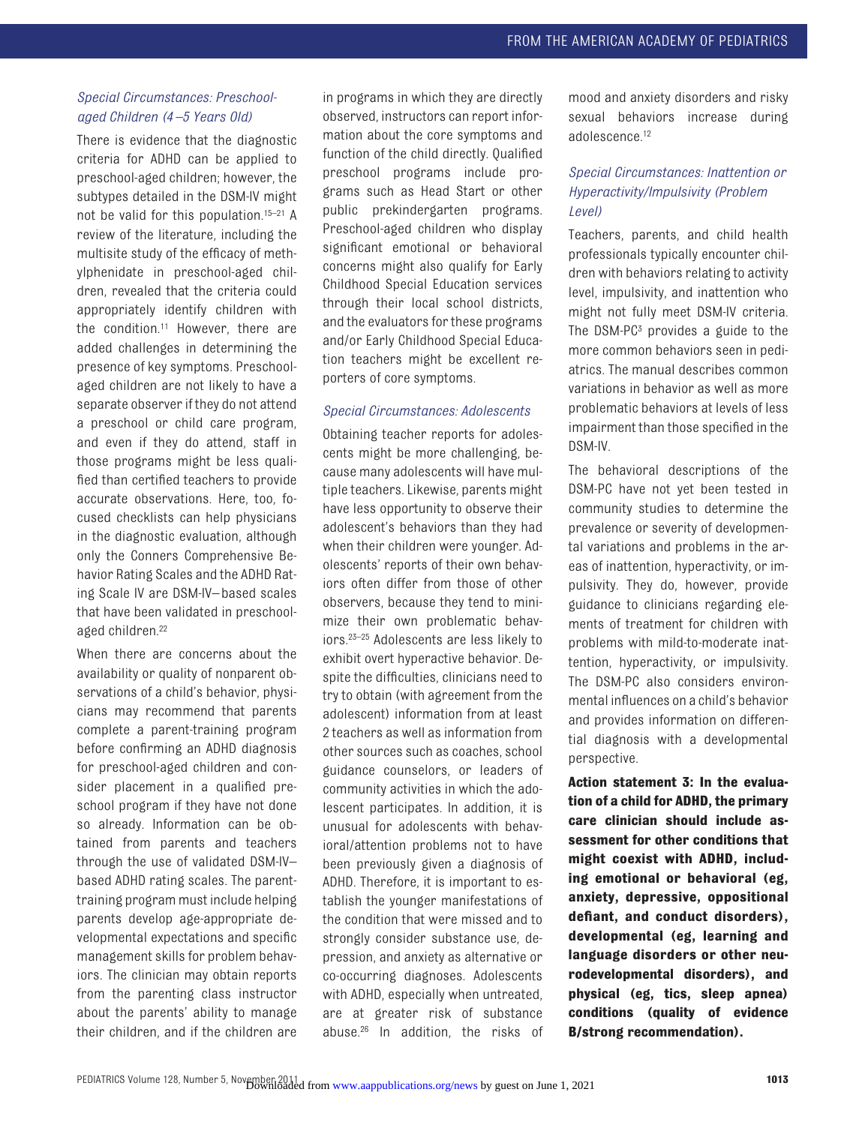## *Special Circumstances: Preschoolaged Children (4 –5 Years Old)*

There is evidence that the diagnostic criteria for ADHD can be applied to preschool-aged children; however, the subtypes detailed in the DSM-IV might not be valid for this population.15–21 A review of the literature, including the multisite study of the efficacy of methylphenidate in preschool-aged children, revealed that the criteria could appropriately identify children with the condition.11 However, there are added challenges in determining the presence of key symptoms. Preschoolaged children are not likely to have a separate observer if they do not attend a preschool or child care program, and even if they do attend, staff in those programs might be less qualified than certified teachers to provide accurate observations. Here, too, focused checklists can help physicians in the diagnostic evaluation, although only the Conners Comprehensive Behavior Rating Scales and the ADHD Rating Scale IV are DSM-IV–based scales that have been validated in preschoolaged children.22

When there are concerns about the availability or quality of nonparent observations of a child's behavior, physicians may recommend that parents complete a parent-training program before confirming an ADHD diagnosis for preschool-aged children and consider placement in a qualified preschool program if they have not done so already. Information can be obtained from parents and teachers through the use of validated DSM-IV– based ADHD rating scales. The parenttraining program must include helping parents develop age-appropriate developmental expectations and specific management skills for problem behaviors. The clinician may obtain reports from the parenting class instructor about the parents' ability to manage their children, and if the children are

in programs in which they are directly observed, instructors can report information about the core symptoms and function of the child directly. Qualified preschool programs include programs such as Head Start or other public prekindergarten programs. Preschool-aged children who display significant emotional or behavioral concerns might also qualify for Early Childhood Special Education services through their local school districts, and the evaluators for these programs and/or Early Childhood Special Education teachers might be excellent reporters of core symptoms.

#### *Special Circumstances: Adolescents*

Obtaining teacher reports for adolescents might be more challenging, because many adolescents will have multiple teachers. Likewise, parents might have less opportunity to observe their adolescent's behaviors than they had when their children were younger. Adolescents' reports of their own behaviors often differ from those of other observers, because they tend to minimize their own problematic behaviors.23–25 Adolescents are less likely to exhibit overt hyperactive behavior. Despite the difficulties, clinicians need to try to obtain (with agreement from the adolescent) information from at least 2 teachers as well as information from other sources such as coaches, school guidance counselors, or leaders of community activities in which the adolescent participates. In addition, it is unusual for adolescents with behavioral/attention problems not to have been previously given a diagnosis of ADHD. Therefore, it is important to establish the younger manifestations of the condition that were missed and to strongly consider substance use, depression, and anxiety as alternative or co-occurring diagnoses. Adolescents with ADHD, especially when untreated, are at greater risk of substance abuse.26 In addition, the risks of mood and anxiety disorders and risky sexual behaviors increase during adolescence.12

## *Special Circumstances: Inattention or Hyperactivity/Impulsivity (Problem Level)*

Teachers, parents, and child health professionals typically encounter children with behaviors relating to activity level, impulsivity, and inattention who might not fully meet DSM-IV criteria. The DSM-PC<sup>3</sup> provides a guide to the more common behaviors seen in pediatrics. The manual describes common variations in behavior as well as more problematic behaviors at levels of less impairment than those specified in the DSM-IV.

The behavioral descriptions of the DSM-PC have not yet been tested in community studies to determine the prevalence or severity of developmental variations and problems in the areas of inattention, hyperactivity, or impulsivity. They do, however, provide guidance to clinicians regarding elements of treatment for children with problems with mild-to-moderate inattention, hyperactivity, or impulsivity. The DSM-PC also considers environmental influences on a child's behavior and provides information on differential diagnosis with a developmental perspective.

**Action statement 3: In the evaluation of a child for ADHD, the primary care clinician should include assessment for other conditions that might coexist with ADHD, including emotional or behavioral (eg, anxiety, depressive, oppositional defiant, and conduct disorders), developmental (eg, learning and language disorders or other neurodevelopmental disorders), and physical (eg, tics, sleep apnea) conditions (quality of evidence B/strong recommendation).**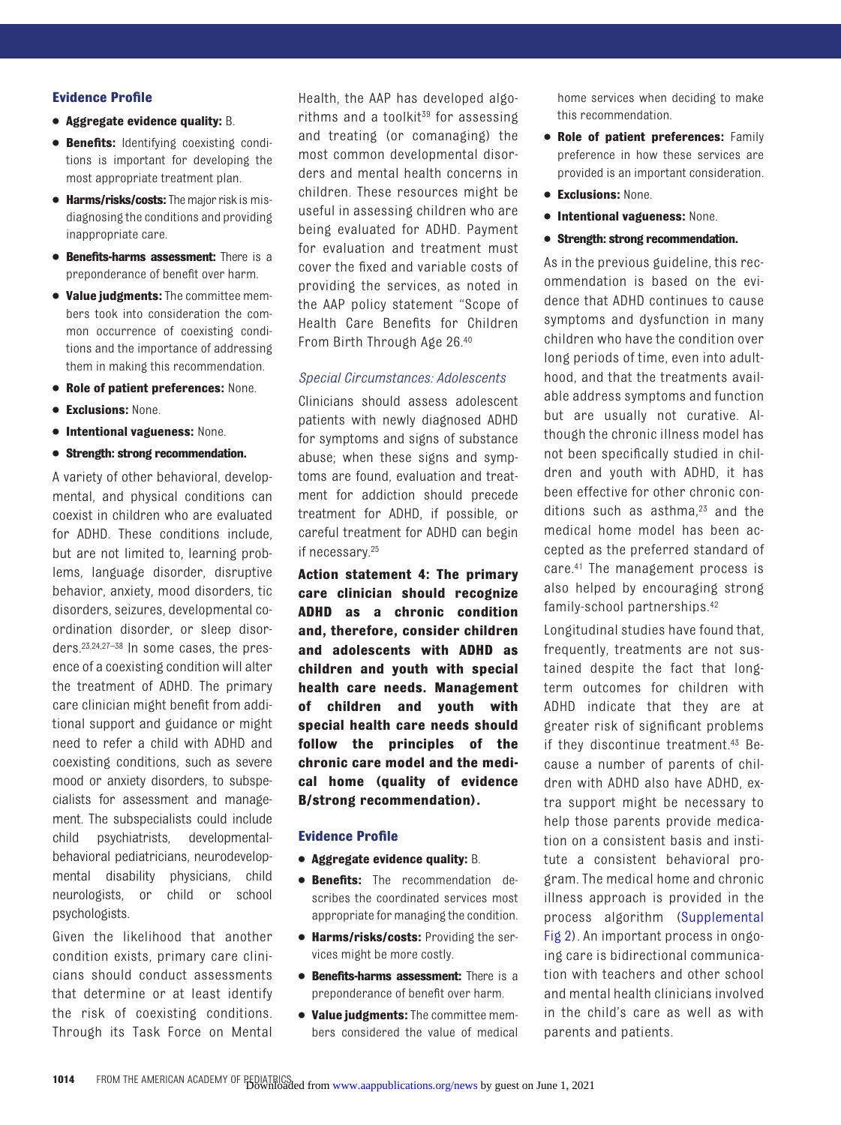#### **Evidence Profile**

- **Aggregate evidence quality:** B.
- **Benefits:** Identifying coexisting conditions is important for developing the most appropriate treatment plan.
- **Harms/risks/costs:** The major risk is misdiagnosing the conditions and providing inappropriate care.
- **Benefits-harms assessment:** There is a preponderance of benefit over harm.
- **Value judgments:** The committee members took into consideration the common occurrence of coexisting conditions and the importance of addressing them in making this recommendation.
- **Role of patient preferences:** None.
- **Exclusions:** None.
- **Intentional vagueness:** None.
- **Strength: strong recommendation.**

A variety of other behavioral, developmental, and physical conditions can coexist in children who are evaluated for ADHD. These conditions include, but are not limited to, learning problems, language disorder, disruptive behavior, anxiety, mood disorders, tic disorders, seizures, developmental coordination disorder, or sleep disorders.23,24,27–38 In some cases, the presence of a coexisting condition will alter the treatment of ADHD. The primary care clinician might benefit from additional support and guidance or might need to refer a child with ADHD and coexisting conditions, such as severe mood or anxiety disorders, to subspecialists for assessment and management. The subspecialists could include child psychiatrists, developmentalbehavioral pediatricians, neurodevelopmental disability physicians, child neurologists, or child or school psychologists.

Given the likelihood that another condition exists, primary care clinicians should conduct assessments that determine or at least identify the risk of coexisting conditions. Through its Task Force on Mental

Health, the AAP has developed algorithms and a toolkit $39$  for assessing and treating (or comanaging) the most common developmental disorders and mental health concerns in children. These resources might be useful in assessing children who are being evaluated for ADHD. Payment for evaluation and treatment must cover the fixed and variable costs of providing the services, as noted in the AAP policy statement "Scope of Health Care Benefits for Children From Birth Through Age 26.40

#### *Special Circumstances: Adolescents*

Clinicians should assess adolescent patients with newly diagnosed ADHD for symptoms and signs of substance abuse; when these signs and symptoms are found, evaluation and treatment for addiction should precede treatment for ADHD, if possible, or careful treatment for ADHD can begin if necessary.25

**Action statement 4: The primary care clinician should recognize ADHD as a chronic condition and, therefore, consider children and adolescents with ADHD as children and youth with special health care needs. Management of children and youth with special health care needs should follow the principles of the chronic care model and the medical home (quality of evidence B/strong recommendation).**

#### **Evidence Profile**

- **Aggregate evidence quality:** B.
- **Benefits:** The recommendation describes the coordinated services most appropriate for managing the condition.
- **Harms/risks/costs:** Providing the services might be more costly.
- **Benefits-harms assessment:** There is a preponderance of benefit over harm.
- **Value judgments:** The committee members considered the value of medical

home services when deciding to make this recommendation.

- **Role of patient preferences:** Family preference in how these services are provided is an important consideration.
- **Exclusions:** None.
- **Intentional vagueness:** None.
- **Strength: strong recommendation.**

As in the previous guideline, this recommendation is based on the evidence that ADHD continues to cause symptoms and dysfunction in many children who have the condition over long periods of time, even into adulthood, and that the treatments available address symptoms and function but are usually not curative. Although the chronic illness model has not been specifically studied in children and youth with ADHD, it has been effective for other chronic conditions such as asthma, $23$  and the medical home model has been accepted as the preferred standard of care.41 The management process is also helped by encouraging strong family-school partnerships.42

Longitudinal studies have found that, frequently, treatments are not sustained despite the fact that longterm outcomes for children with ADHD indicate that they are at greater risk of significant problems if they discontinue treatment.<sup>43</sup> Because a number of parents of children with ADHD also have ADHD, extra support might be necessary to help those parents provide medication on a consistent basis and institute a consistent behavioral program. The medical home and chronic illness approach is provided in the process algorithm [\(Supplemental](http://pediatrics.aappublications.org/content/128/5/1007/suppl/DC1) [Fig 2\)](pediatrics.aappublications.org/cgi/content/full/peds.2011-7822/DC1). An important process in ongoing care is bidirectional communication with teachers and other school and mental health clinicians involved in the child's care as well as with parents and patients.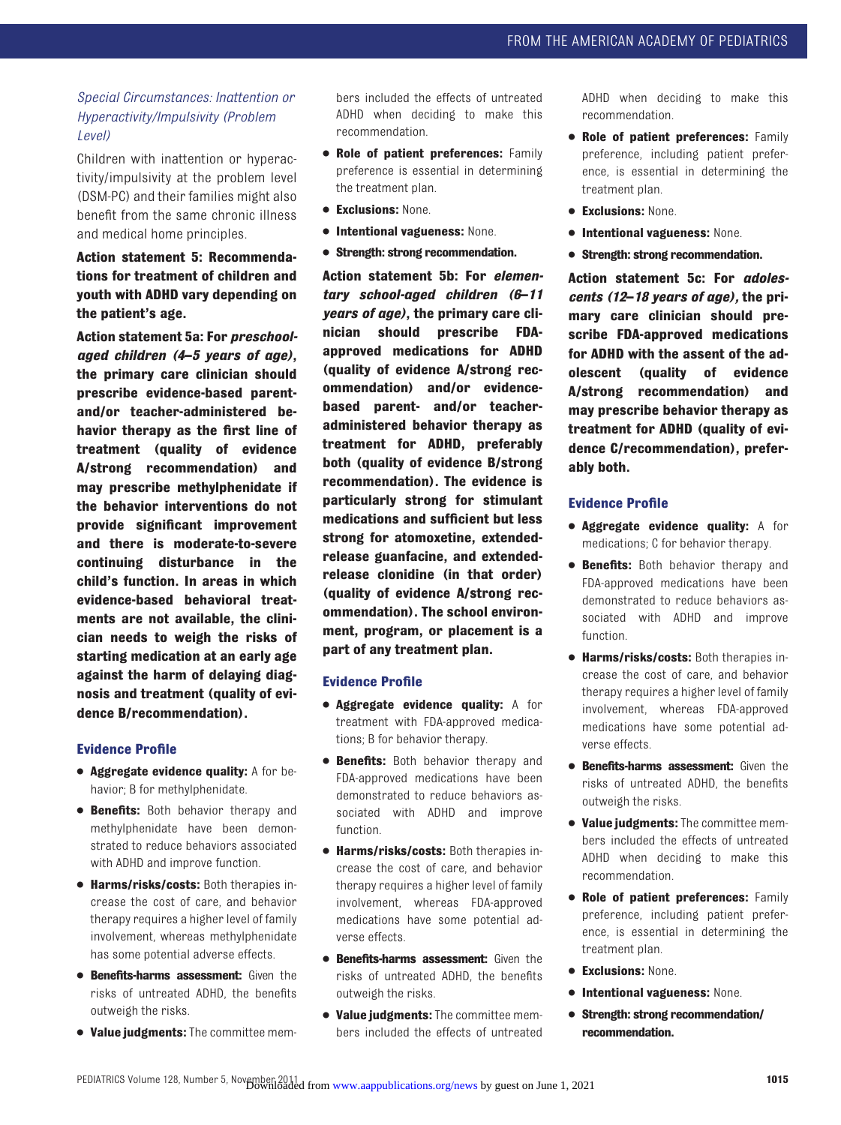## *Special Circumstances: Inattention or Hyperactivity/Impulsivity (Problem Level)*

Children with inattention or hyperactivity/impulsivity at the problem level (DSM-PC) and their families might also benefit from the same chronic illness and medical home principles.

**Action statement 5: Recommendations for treatment of children and youth with ADHD vary depending on the patient's age.**

**Action statement 5a: For** *preschoolaged children (4***–***5 years of age)***, the primary care clinician should prescribe evidence-based parentand/or teacher-administered behavior therapy as the first line of treatment (quality of evidence A/strong recommendation) and may prescribe methylphenidate if the behavior interventions do not provide significant improvement and there is moderate-to-severe continuing disturbance in the child's function. In areas in which evidence-based behavioral treatments are not available, the clinician needs to weigh the risks of starting medication at an early age against the harm of delaying diagnosis and treatment (quality of evidence B/recommendation).**

#### **Evidence Profile**

- **Aggregate evidence quality:** A for behavior; B for methylphenidate.
- **Benefits:** Both behavior therapy and methylphenidate have been demonstrated to reduce behaviors associated with ADHD and improve function.
- **Harms/risks/costs:** Both therapies increase the cost of care, and behavior therapy requires a higher level of family involvement, whereas methylphenidate has some potential adverse effects.
- **Benefits-harms assessment:** Given the risks of untreated ADHD, the benefits outweigh the risks.
- **Value judgments:** The committee mem-

bers included the effects of untreated ADHD when deciding to make this recommendation.

- **Role of patient preferences:** Family preference is essential in determining the treatment plan.
- **Exclusions:** None.
- **Intentional vagueness:** None.
- **Strength: strong recommendation.**

**Action statement 5b: For** *elementary school-aged children (6***–***11 years of age)***, the primary care clinician should prescribe FDAapproved medications for ADHD (quality of evidence A/strong recommendation) and/or evidencebased parent- and/or teacheradministered behavior therapy as treatment for ADHD, preferably both (quality of evidence B/strong recommendation). The evidence is particularly strong for stimulant medications and sufficient but less strong for atomoxetine, extendedrelease guanfacine, and extendedrelease clonidine (in that order) (quality of evidence A/strong recommendation). The school environment, program, or placement is a part of any treatment plan.**

#### **Evidence Profile**

- **Aggregate evidence quality:** A for treatment with FDA-approved medications; B for behavior therapy.
- **Benefits:** Both behavior therapy and FDA-approved medications have been demonstrated to reduce behaviors associated with ADHD and improve function.
- **Harms/risks/costs:** Both therapies increase the cost of care, and behavior therapy requires a higher level of family involvement, whereas FDA-approved medications have some potential adverse effects.
- **Benefits-harms assessment:** Given the risks of untreated ADHD, the benefits outweigh the risks.
- **Value judgments:** The committee members included the effects of untreated

ADHD when deciding to make this recommendation.

- **Role of patient preferences:** Family preference, including patient preference, is essential in determining the treatment plan.
- **Exclusions:** None.
- **Intentional vagueness:** None.
- **Strength: strong recommendation.**

**Action statement 5c: For** *adolescents (12***–***18 years of age),* **the primary care clinician should prescribe FDA-approved medications for ADHD with the assent of the adolescent (quality of evidence A/strong recommendation) and may prescribe behavior therapy as treatment for ADHD (quality of evidence C/recommendation), preferably both.**

#### **Evidence Profile**

- **Aggregate evidence quality:** A for medications; C for behavior therapy.
- **Benefits:** Both behavior therapy and FDA-approved medications have been demonstrated to reduce behaviors associated with ADHD and improve function.
- **Harms/risks/costs:** Both therapies increase the cost of care, and behavior therapy requires a higher level of family involvement, whereas FDA-approved medications have some potential adverse effects.
- **Benefits-harms assessment:** Given the risks of untreated ADHD, the benefits outweigh the risks.
- **Value judgments:** The committee members included the effects of untreated ADHD when deciding to make this recommendation.
- **Role of patient preferences:** Family preference, including patient preference, is essential in determining the treatment plan.
- **Exclusions:** None.
- **Intentional vagueness:** None.
- **Strength: strong recommendation/ recommendation.**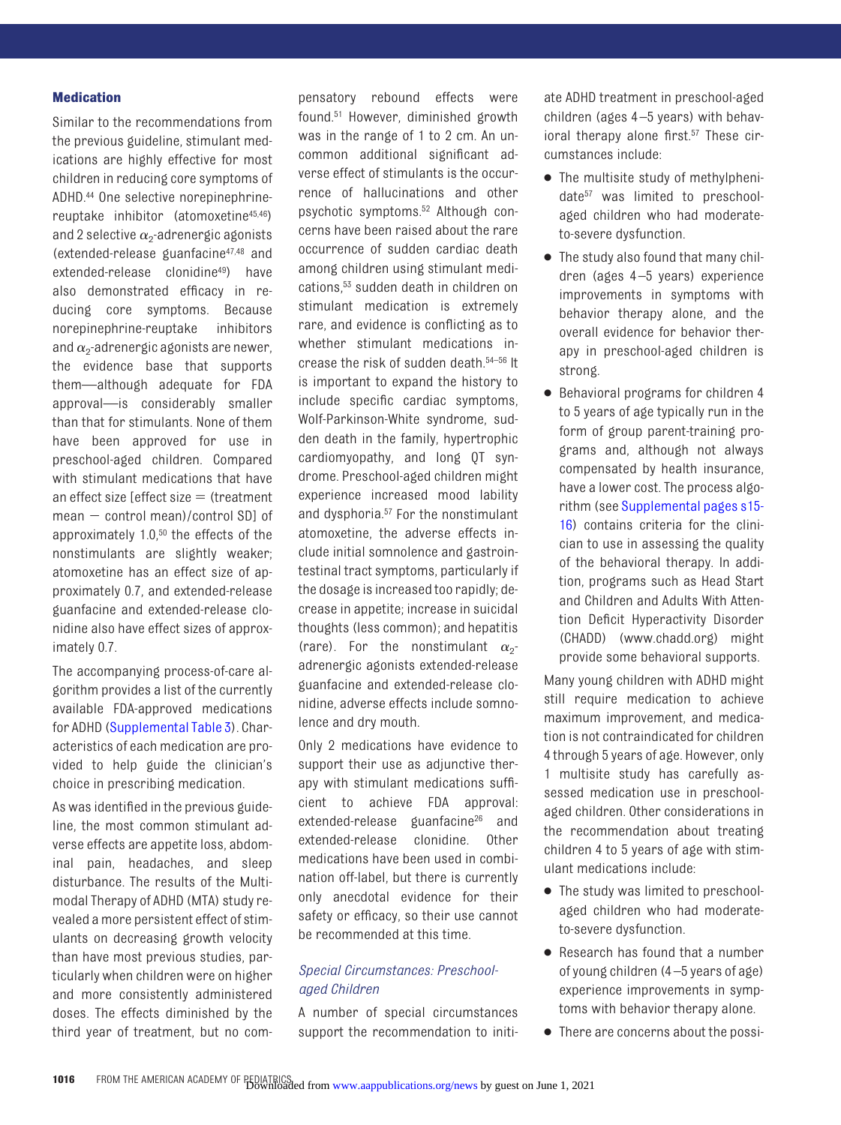#### **Medication**

Similar to the recommendations from the previous guideline, stimulant medications are highly effective for most children in reducing core symptoms of ADHD.44 One selective norepinephrinereuptake inhibitor (atomoxetine45,46) and 2 selective  $\alpha_2$ -adrenergic agonists (extended-release guanfacine47,48 and extended-release clonidine<sup>49</sup>) have also demonstrated efficacy in reducing core symptoms. Because norepinephrine-reuptake inhibitors and  $\alpha$ -adrenergic agonists are newer, the evidence base that supports them—although adequate for FDA approval—is considerably smaller than that for stimulants. None of them have been approved for use in preschool-aged children. Compared with stimulant medications that have an effect size [effect size  $=$  (treatment mean - control mean)/control SD] of approximately  $1.0$ ,<sup>50</sup> the effects of the nonstimulants are slightly weaker; atomoxetine has an effect size of approximately 0.7, and extended-release guanfacine and extended-release clonidine also have effect sizes of approximately 0.7.

The accompanying process-of-care algorithm provides a list of the currently available FDA-approved medications for ADHD [\(Supplemental Table 3\)](http://pediatrics.aappublications.org/content/128/5/1007/suppl/DC1). Characteristics of each medication are provided to help guide the clinician's choice in prescribing medication.

As was identified in the previous guideline, the most common stimulant adverse effects are appetite loss, abdominal pain, headaches, and sleep disturbance. The results of the Multimodal Therapy of ADHD (MTA) study revealed a more persistent effect of stimulants on decreasing growth velocity than have most previous studies, particularly when children were on higher and more consistently administered doses. The effects diminished by the third year of treatment, but no com-

pensatory rebound effects were found.51 However, diminished growth was in the range of 1 to 2 cm. An uncommon additional significant adverse effect of stimulants is the occurrence of hallucinations and other psychotic symptoms.52 Although concerns have been raised about the rare occurrence of sudden cardiac death among children using stimulant medications,53 sudden death in children on stimulant medication is extremely rare, and evidence is conflicting as to whether stimulant medications increase the risk of sudden death.54–56 It is important to expand the history to include specific cardiac symptoms, Wolf-Parkinson-White syndrome, sudden death in the family, hypertrophic cardiomyopathy, and long QT syndrome. Preschool-aged children might experience increased mood lability and dysphoria.57 For the nonstimulant atomoxetine, the adverse effects include initial somnolence and gastrointestinal tract symptoms, particularly if the dosage is increased too rapidly; decrease in appetite; increase in suicidal thoughts (less common); and hepatitis (rare). For the nonstimulant  $\alpha_2$ adrenergic agonists extended-release guanfacine and extended-release clonidine, adverse effects include somnolence and dry mouth.

Only 2 medications have evidence to support their use as adjunctive therapy with stimulant medications sufficient to achieve FDA approval: extended-release guanfacine26 and extended-release clonidine. Other medications have been used in combination off-label, but there is currently only anecdotal evidence for their safety or efficacy, so their use cannot be recommended at this time.

## *Special Circumstances: Preschoolaged Children*

A number of special circumstances support the recommendation to initiate ADHD treatment in preschool-aged children (ages 4 –5 years) with behavioral therapy alone first.<sup>57</sup> These circumstances include:

- The multisite study of methylphenidate<sup>57</sup> was limited to preschoolaged children who had moderateto-severe dysfunction.
- The study also found that many children (ages 4 –5 years) experience improvements in symptoms with behavior therapy alone, and the overall evidence for behavior therapy in preschool-aged children is strong.
- Behavioral programs for children 4 to 5 years of age typically run in the form of group parent-training programs and, although not always compensated by health insurance, have a lower cost. The process algorithm (see [Supplemental pages s15-](http://pediatrics.aappublications.org/content/128/5/1007/suppl/DC1) [16\)](pediatrics.aappublications.org/cgi/content/full/peds.2011-7822/DC1) contains criteria for the clinician to use in assessing the quality of the behavioral therapy. In addition, programs such as Head Start and Children and Adults With Attention Deficit Hyperactivity Disorder (CHADD) [\(www.chadd.org\)](www.chadd.org) might provide some behavioral supports.

Many young children with ADHD might still require medication to achieve maximum improvement, and medication is not contraindicated for children 4 through 5 years of age. However, only 1 multisite study has carefully assessed medication use in preschoolaged children. Other considerations in the recommendation about treating children 4 to 5 years of age with stimulant medications include:

- The study was limited to preschoolaged children who had moderateto-severe dysfunction.
- Research has found that a number of young children (4 –5 years of age) experience improvements in symptoms with behavior therapy alone.
- There are concerns about the possi-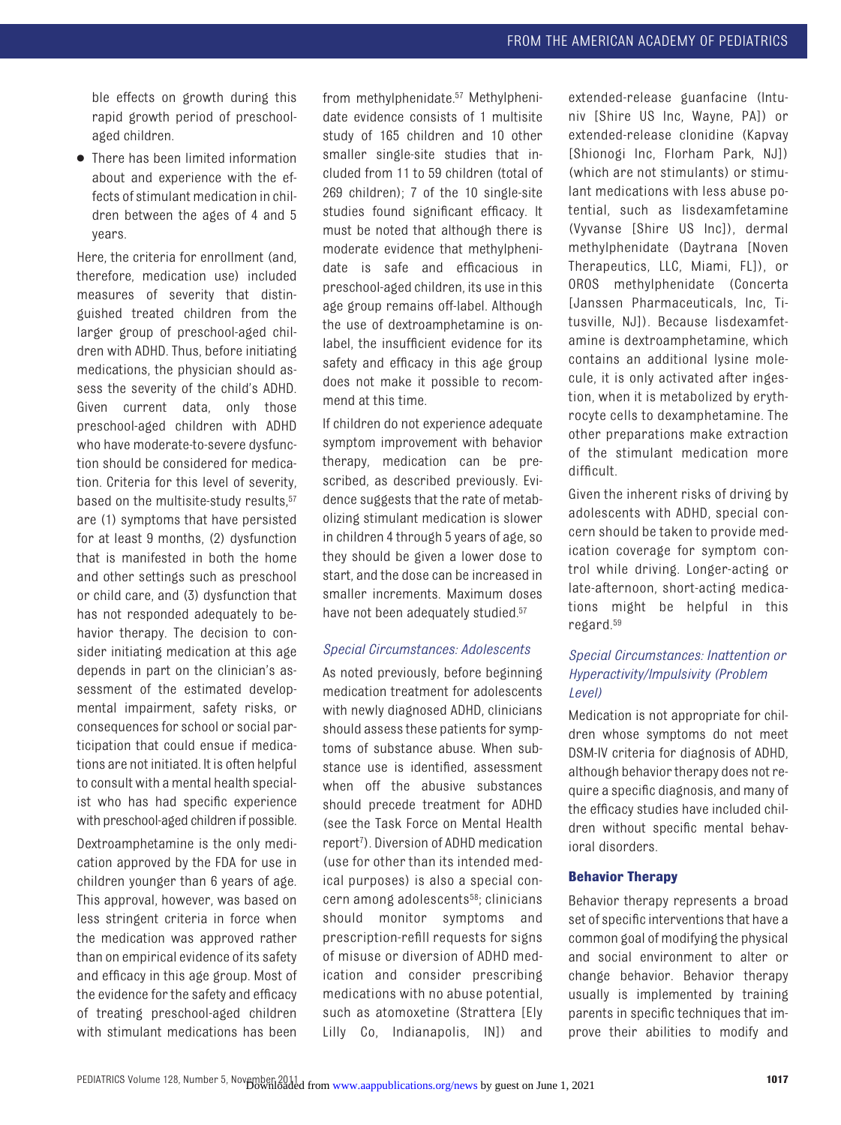ble effects on growth during this rapid growth period of preschoolaged children.

● There has been limited information about and experience with the effects of stimulant medication in children between the ages of 4 and 5 years.

Here, the criteria for enrollment (and, therefore, medication use) included measures of severity that distinguished treated children from the larger group of preschool-aged children with ADHD. Thus, before initiating medications, the physician should assess the severity of the child's ADHD. Given current data, only those preschool-aged children with ADHD who have moderate-to-severe dysfunction should be considered for medication. Criteria for this level of severity, based on the multisite-study results,<sup>57</sup> are (1) symptoms that have persisted for at least 9 months, (2) dysfunction that is manifested in both the home and other settings such as preschool or child care, and (3) dysfunction that has not responded adequately to behavior therapy. The decision to consider initiating medication at this age depends in part on the clinician's assessment of the estimated developmental impairment, safety risks, or consequences for school or social participation that could ensue if medications are not initiated. It is often helpful to consult with a mental health specialist who has had specific experience with preschool-aged children if possible.

Dextroamphetamine is the only medication approved by the FDA for use in children younger than 6 years of age. This approval, however, was based on less stringent criteria in force when the medication was approved rather than on empirical evidence of its safety and efficacy in this age group. Most of the evidence for the safety and efficacy of treating preschool-aged children with stimulant medications has been

from methylphenidate.57 Methylphenidate evidence consists of 1 multisite study of 165 children and 10 other smaller single-site studies that included from 11 to 59 children (total of 269 children); 7 of the 10 single-site studies found significant efficacy. It must be noted that although there is moderate evidence that methylphenidate is safe and efficacious in preschool-aged children, its use in this age group remains off-label. Although the use of dextroamphetamine is onlabel, the insufficient evidence for its safety and efficacy in this age group does not make it possible to recommend at this time.

If children do not experience adequate symptom improvement with behavior therapy, medication can be prescribed, as described previously. Evidence suggests that the rate of metabolizing stimulant medication is slower in children 4 through 5 years of age, so they should be given a lower dose to start, and the dose can be increased in smaller increments. Maximum doses have not been adequately studied.<sup>57</sup>

## *Special Circumstances: Adolescents*

As noted previously, before beginning medication treatment for adolescents with newly diagnosed ADHD, clinicians should assess these patients for symptoms of substance abuse. When substance use is identified, assessment when off the abusive substances should precede treatment for ADHD (see the Task Force on Mental Health report7). Diversion of ADHD medication (use for other than its intended medical purposes) is also a special concern among adolescents58; clinicians should monitor symptoms and prescription-refill requests for signs of misuse or diversion of ADHD medication and consider prescribing medications with no abuse potential, such as atomoxetine (Strattera [Ely Lilly Co, Indianapolis, IN]) and

extended-release guanfacine (Intuniv [Shire US Inc, Wayne, PA]) or extended-release clonidine (Kapvay [Shionogi Inc, Florham Park, NJ]) (which are not stimulants) or stimulant medications with less abuse potential, such as lisdexamfetamine (Vyvanse [Shire US Inc]), dermal methylphenidate (Daytrana [Noven Therapeutics, LLC, Miami, FL]), or OROS methylphenidate (Concerta [Janssen Pharmaceuticals, Inc, Titusville, NJ]). Because lisdexamfetamine is dextroamphetamine, which contains an additional lysine molecule, it is only activated after ingestion, when it is metabolized by erythrocyte cells to dexamphetamine. The other preparations make extraction of the stimulant medication more difficult.

Given the inherent risks of driving by adolescents with ADHD, special concern should be taken to provide medication coverage for symptom control while driving. Longer-acting or late-afternoon, short-acting medications might be helpful in this regard.59

## *Special Circumstances: Inattention or Hyperactivity/Impulsivity (Problem Level)*

Medication is not appropriate for children whose symptoms do not meet DSM-IV criteria for diagnosis of ADHD, although behavior therapy does not require a specific diagnosis, and many of the efficacy studies have included children without specific mental behavioral disorders.

#### **Behavior Therapy**

Behavior therapy represents a broad set of specific interventions that have a common goal of modifying the physical and social environment to alter or change behavior. Behavior therapy usually is implemented by training parents in specific techniques that improve their abilities to modify and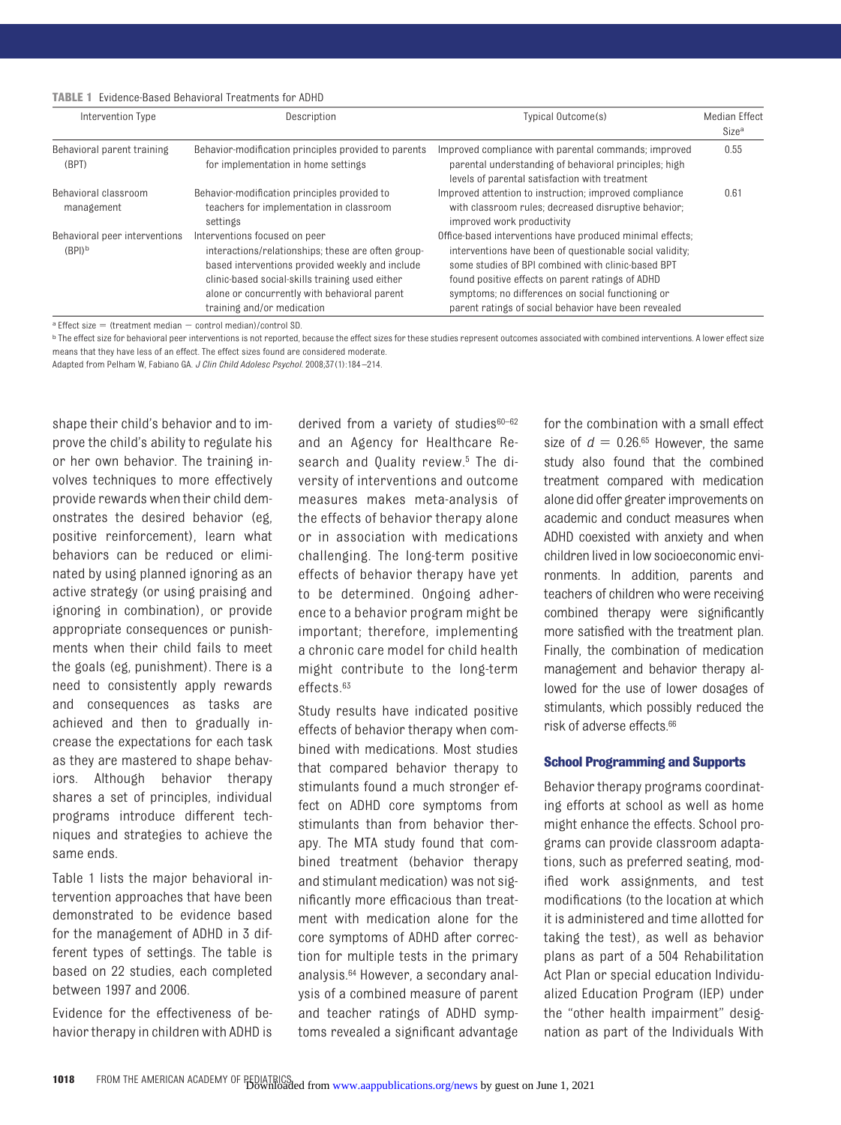|  | <b>TABLE 1</b> Evidence-Based Behavioral Treatments for ADHD |  |  |  |  |
|--|--------------------------------------------------------------|--|--|--|--|
|--|--------------------------------------------------------------|--|--|--|--|

| Intervention Type                                   | Description                                                                                                                                                                                                                                                             | Typical Outcome(s)                                                                                                                                                                                                                                                                                                                           | Median Effect<br>Size <sup>a</sup> |
|-----------------------------------------------------|-------------------------------------------------------------------------------------------------------------------------------------------------------------------------------------------------------------------------------------------------------------------------|----------------------------------------------------------------------------------------------------------------------------------------------------------------------------------------------------------------------------------------------------------------------------------------------------------------------------------------------|------------------------------------|
| Behavioral parent training<br>(BPT)                 | Behavior-modification principles provided to parents<br>for implementation in home settings                                                                                                                                                                             | Improved compliance with parental commands; improved<br>parental understanding of behavioral principles; high<br>levels of parental satisfaction with treatment                                                                                                                                                                              | 0.55                               |
| Behavioral classroom<br>management                  | Behavior-modification principles provided to<br>teachers for implementation in classroom<br>settings                                                                                                                                                                    | Improved attention to instruction; improved compliance<br>with classroom rules; decreased disruptive behavior;<br>improved work productivity                                                                                                                                                                                                 |                                    |
| Behavioral peer interventions<br>(BPI) <sup>b</sup> | Interventions focused on peer<br>interactions/relationships; these are often group-<br>based interventions provided weekly and include<br>clinic-based social-skills training used either<br>alone or concurrently with behavioral parent<br>training and/or medication | Office-based interventions have produced minimal effects;<br>interventions have been of questionable social validity;<br>some studies of BPI combined with clinic-based BPT<br>found positive effects on parent ratings of ADHD<br>symptoms; no differences on social functioning or<br>parent ratings of social behavior have been revealed |                                    |

 $a$  Effect size = (treatment median  $-$  control median)/control SD.

 $\rm b$  The effect size for behavioral peer interventions is not reported, because the effect sizes for these studies represent outcomes associated with combined interventions. A lower effect size means that they have less of an effect. The effect sizes found are considered moderate.

Adapted from Pelham W, Fabiano GA. *J Clin Child Adolesc Psychol*. 2008;37(1):184 –214.

shape their child's behavior and to improve the child's ability to regulate his or her own behavior. The training involves techniques to more effectively provide rewards when their child demonstrates the desired behavior (eg, positive reinforcement), learn what behaviors can be reduced or eliminated by using planned ignoring as an active strategy (or using praising and ignoring in combination), or provide appropriate consequences or punishments when their child fails to meet the goals (eg, punishment). There is a need to consistently apply rewards and consequences as tasks are achieved and then to gradually increase the expectations for each task as they are mastered to shape behaviors. Although behavior therapy shares a set of principles, individual programs introduce different techniques and strategies to achieve the same ends.

Table 1 lists the major behavioral intervention approaches that have been demonstrated to be evidence based for the management of ADHD in 3 different types of settings. The table is based on 22 studies, each completed between 1997 and 2006.

derived from a variety of studies<sup>60-62</sup> and an Agency for Healthcare Research and Quality review.<sup>5</sup> The diversity of interventions and outcome measures makes meta-analysis of the effects of behavior therapy alone or in association with medications challenging. The long-term positive effects of behavior therapy have yet to be determined. Ongoing adherence to a behavior program might be important; therefore, implementing a chronic care model for child health might contribute to the long-term effects.63

Study results have indicated positive effects of behavior therapy when combined with medications. Most studies that compared behavior therapy to stimulants found a much stronger effect on ADHD core symptoms from stimulants than from behavior therapy. The MTA study found that combined treatment (behavior therapy and stimulant medication) was not significantly more efficacious than treatment with medication alone for the core symptoms of ADHD after correction for multiple tests in the primary analysis.64 However, a secondary analysis of a combined measure of parent and teacher ratings of ADHD symptoms revealed a significant advantage

for the combination with a small effect size of  $d = 0.26$ .<sup>65</sup> However, the same study also found that the combined treatment compared with medication alone did offer greater improvements on academic and conduct measures when ADHD coexisted with anxiety and when children lived in low socioeconomic environments. In addition, parents and teachers of children who were receiving combined therapy were significantly more satisfied with the treatment plan. Finally, the combination of medication management and behavior therapy allowed for the use of lower dosages of stimulants, which possibly reduced the risk of adverse effects.66

#### **School Programming and Supports**

Behavior therapy programs coordinating efforts at school as well as home might enhance the effects. School programs can provide classroom adaptations, such as preferred seating, modified work assignments, and test modifications (to the location at which it is administered and time allotted for taking the test), as well as behavior plans as part of a 504 Rehabilitation Act Plan or special education Individualized Education Program (IEP) under the "other health impairment" designation as part of the Individuals With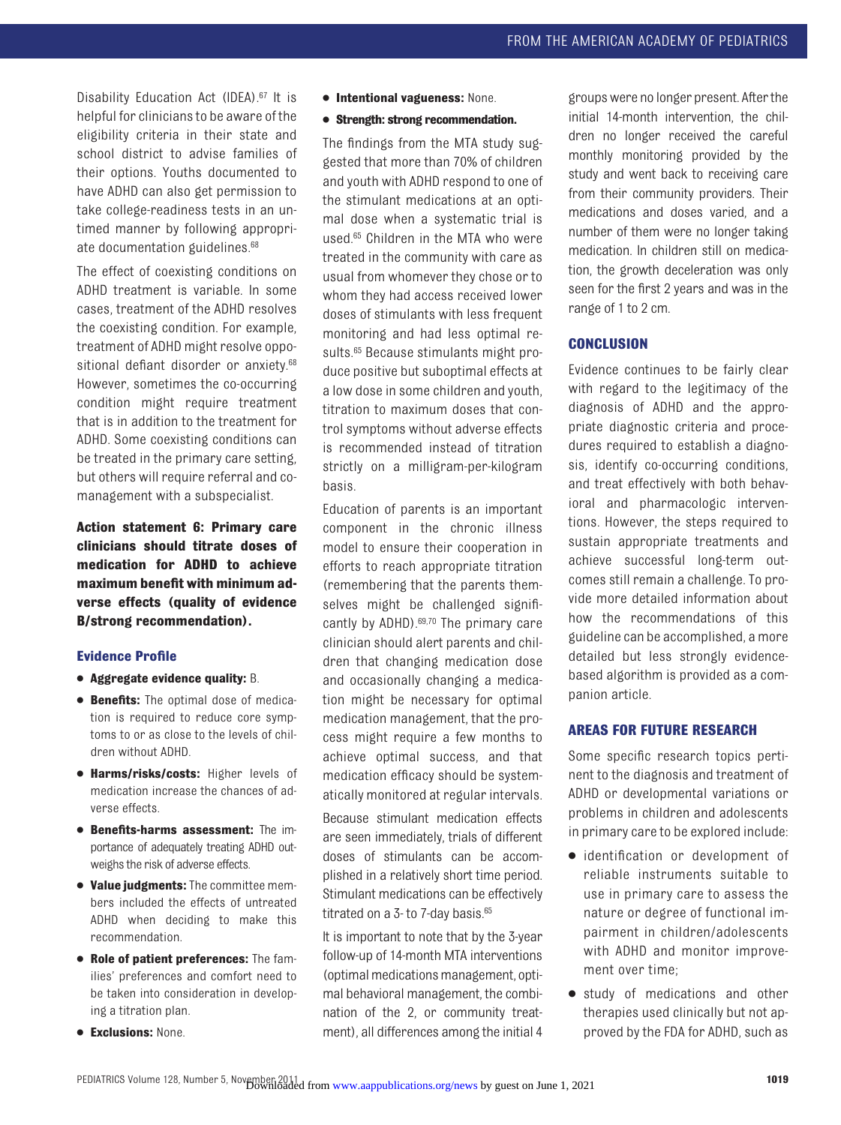Disability Education Act (IDEA).<sup>67</sup> It is helpful for clinicians to be aware of the eligibility criteria in their state and school district to advise families of their options. Youths documented to have ADHD can also get permission to take college-readiness tests in an untimed manner by following appropriate documentation guidelines.<sup>68</sup>

The effect of coexisting conditions on ADHD treatment is variable. In some cases, treatment of the ADHD resolves the coexisting condition. For example, treatment of ADHD might resolve oppositional defiant disorder or anxiety.<sup>68</sup> However, sometimes the co-occurring condition might require treatment that is in addition to the treatment for ADHD. Some coexisting conditions can be treated in the primary care setting, but others will require referral and comanagement with a subspecialist.

**Action statement 6: Primary care clinicians should titrate doses of medication for ADHD to achieve maximum benefit with minimum adverse effects (quality of evidence B/strong recommendation).**

#### **Evidence Profile**

- **Aggregate evidence quality:** B.
- **Benefits:** The optimal dose of medication is required to reduce core symptoms to or as close to the levels of children without ADHD.
- **Harms/risks/costs:** Higher levels of medication increase the chances of adverse effects.
- **Benefits-harms assessment:** The importance of adequately treating ADHD outweighs the risk of adverse effects.
- **Value judgments:** The committee members included the effects of untreated ADHD when deciding to make this recommendation.
- **Role of patient preferences:** The families' preferences and comfort need to be taken into consideration in developing a titration plan.
- **Exclusions:** None.
- **Intentional vagueness:** None.
- **Strength: strong recommendation.**

The findings from the MTA study suggested that more than 70% of children and youth with ADHD respond to one of the stimulant medications at an optimal dose when a systematic trial is used.65 Children in the MTA who were treated in the community with care as usual from whomever they chose or to whom they had access received lower doses of stimulants with less frequent monitoring and had less optimal results.65 Because stimulants might produce positive but suboptimal effects at a low dose in some children and youth, titration to maximum doses that control symptoms without adverse effects is recommended instead of titration strictly on a milligram-per-kilogram basis.

Education of parents is an important component in the chronic illness model to ensure their cooperation in efforts to reach appropriate titration (remembering that the parents themselves might be challenged significantly by ADHD).69,70 The primary care clinician should alert parents and children that changing medication dose and occasionally changing a medication might be necessary for optimal medication management, that the process might require a few months to achieve optimal success, and that medication efficacy should be systematically monitored at regular intervals.

Because stimulant medication effects are seen immediately, trials of different doses of stimulants can be accomplished in a relatively short time period. Stimulant medications can be effectively titrated on a 3- to 7-day basis.<sup>65</sup>

It is important to note that by the 3-year follow-up of 14-month MTA interventions (optimal medications management, optimal behavioral management, the combination of the 2, or community treatment), all differences among the initial 4

groups were no longer present. Afterthe initial 14-month intervention, the children no longer received the careful monthly monitoring provided by the study and went back to receiving care from their community providers. Their medications and doses varied, and a number of them were no longer taking medication. In children still on medication, the growth deceleration was only seen for the first 2 years and was in the range of 1 to 2 cm.

#### **CONCLUSION**

Evidence continues to be fairly clear with regard to the legitimacy of the diagnosis of ADHD and the appropriate diagnostic criteria and procedures required to establish a diagnosis, identify co-occurring conditions, and treat effectively with both behavioral and pharmacologic interventions. However, the steps required to sustain appropriate treatments and achieve successful long-term outcomes still remain a challenge. To provide more detailed information about how the recommendations of this guideline can be accomplished, a more detailed but less strongly evidencebased algorithm is provided as a companion article.

## **AREAS FOR FUTURE RESEARCH**

Some specific research topics pertinent to the diagnosis and treatment of ADHD or developmental variations or problems in children and adolescents in primary care to be explored include:

- identification or development of reliable instruments suitable to use in primary care to assess the nature or degree of functional impairment in children/adolescents with ADHD and monitor improvement over time;
- study of medications and other therapies used clinically but not approved by the FDA for ADHD, such as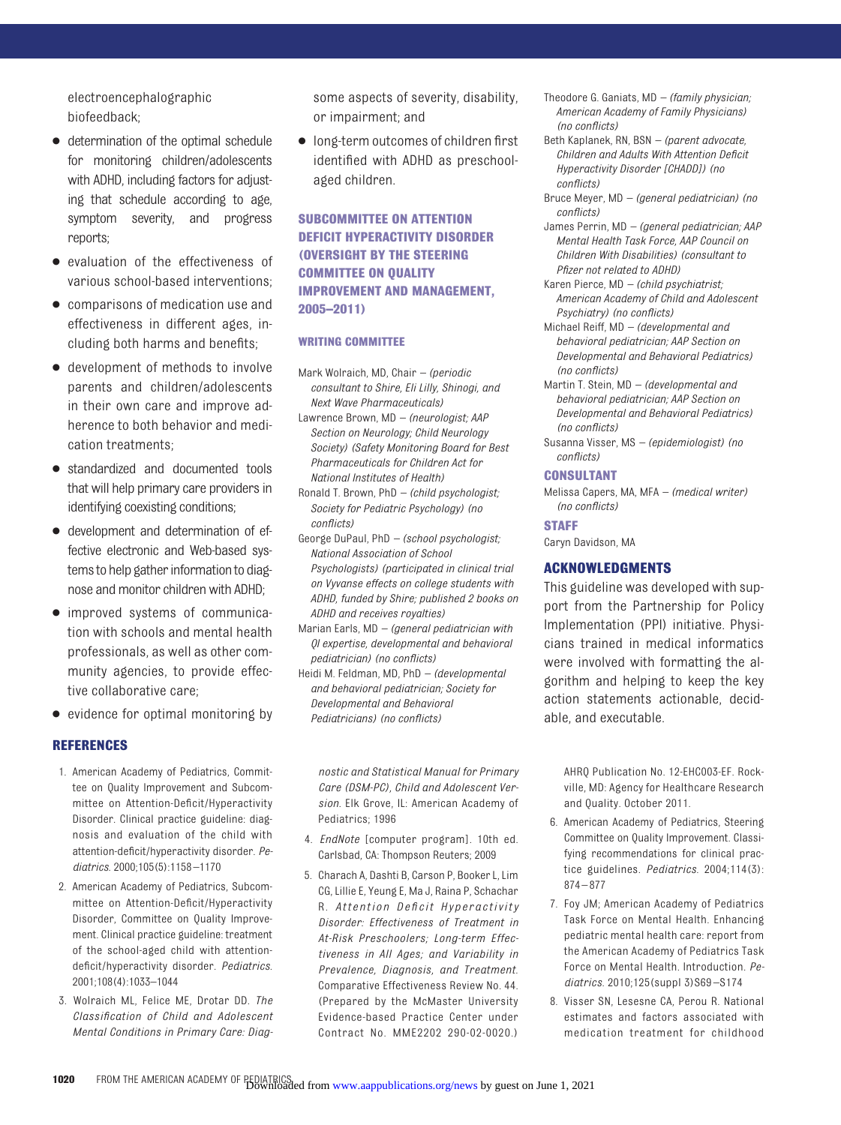electroencephalographic biofeedback;

- determination of the optimal schedule for monitoring children/adolescents with ADHD, including factors for adjusting that schedule according to age, symptom severity, and progress reports;
- evaluation of the effectiveness of various school-based interventions;
- comparisons of medication use and effectiveness in different ages, including both harms and benefits;
- development of methods to involve parents and children/adolescents in their own care and improve adherence to both behavior and medication treatments;
- standardized and documented tools that will help primary care providers in identifying coexisting conditions;
- development and determination of effective electronic and Web-based systems to help gather information to diagnose and monitor children with ADHD;
- improved systems of communication with schools and mental health professionals, as well as other community agencies, to provide effective collaborative care;
- evidence for optimal monitoring by

#### **REFERENCES**

- 1. American Academy of Pediatrics, Committee on Quality Improvement and Subcommittee on Attention-Deficit/Hyperactivity Disorder. Clinical practice guideline: diagnosis and evaluation of the child with attention-deficit/hyperactivity disorder. *Pediatrics*. 2000;105(5):1158 –1170
- 2. American Academy of Pediatrics, Subcommittee on Attention-Deficit/Hyperactivity Disorder, Committee on Quality Improvement. Clinical practice guideline: treatment of the school-aged child with attentiondeficit/hyperactivity disorder. *Pediatrics*. 2001;108(4):1033–1044
- 3. Wolraich ML, Felice ME, Drotar DD. *The Classification of Child and Adolescent Mental Conditions in Primary Care: Diag-*

some aspects of severity, disability, or impairment; and

● long-term outcomes of children first identified with ADHD as preschoolaged children.

**SUBCOMMITTEE ON ATTENTION DEFICIT HYPERACTIVITY DISORDER (OVERSIGHT BY THE STEERING COMMITTEE ON QUALITY IMPROVEMENT AND MANAGEMENT, 2005–2011)**

#### **WRITING COMMITTEE**

- Mark Wolraich, MD, Chair  *(periodic consultant to Shire, Eli Lilly, Shinogi, and Next Wave Pharmaceuticals)*
- Lawrence Brown, MD  *(neurologist; AAP Section on Neurology; Child Neurology Society) (Safety Monitoring Board for Best Pharmaceuticals for Children Act for National Institutes of Health)*
- Ronald T. Brown, PhD  *(child psychologist; Society for Pediatric Psychology) (no conflicts)*
- George DuPaul, PhD  *(school psychologist; National Association of School Psychologists) (participated in clinical trial on Vyvanse effects on college students with ADHD, funded by Shire; published 2 books on ADHD and receives royalties)*
- Marian Earls, MD  *(general pediatrician with QI expertise, developmental and behavioral pediatrician) (no conflicts)*
- Heidi M. Feldman, MD, PhD  *(developmental and behavioral pediatrician; Society for Developmental and Behavioral Pediatricians) (no conflicts)*

*nostic and Statistical Manual for Primary Care (DSM-PC), Child and Adolescent Version.* Elk Grove, IL: American Academy of Pediatrics; 1996

- 4. *EndNote* [computer program]. 10th ed. Carlsbad, CA: Thompson Reuters; 2009
- 5. Charach A, Dashti B, Carson P, Booker L, Lim CG, Lillie E, Yeung E, Ma J, Raina P, Schachar R. *Attention Deficit Hyperactivity Disorder: Effectiveness of Treatment in At-Risk Preschoolers; Long-term Effectiveness in All Ages; and Variability in Prevalence, Diagnosis, and Treatment*. Comparative Effectiveness Review No. 44. (Prepared by the McMaster University Evidence-based Practice Center under Contract No. MME2202 290-02-0020.)
- Theodore G. Ganiats, MD  *(family physician; American Academy of Family Physicians) (no conflicts)*
- Beth Kaplanek, RN, BSN  *(parent advocate, Children and Adults With Attention Deficit Hyperactivity Disorder [CHADD]) (no conflicts)*
- Bruce Meyer, MD  *(general pediatrician) (no conflicts)*
- James Perrin, MD  *(general pediatrician; AAP Mental Health Task Force, AAP Council on Children With Disabilities) (consultant to Pfizer not related to ADHD)*
- Karen Pierce, MD  *(child psychiatrist; American Academy of Child and Adolescent Psychiatry) (no conflicts)*
- Michael Reiff, MD  *(developmental and behavioral pediatrician; AAP Section on Developmental and Behavioral Pediatrics) (no conflicts)*
- Martin T. Stein, MD  *(developmental and behavioral pediatrician; AAP Section on Developmental and Behavioral Pediatrics) (no conflicts)*
- Susanna Visser, MS  *(epidemiologist) (no conflicts)*

#### **CONSULTANT**

Melissa Capers, MA, MFA *– (medical writer) (no conflicts)*

#### **STAFF**

Caryn Davidson, MA

#### **ACKNOWLEDGMENTS**

This guideline was developed with support from the Partnership for Policy Implementation (PPI) initiative. Physicians trained in medical informatics were involved with formatting the algorithm and helping to keep the key action statements actionable, decidable, and executable.

AHRQ Publication No. 12-EHC003-EF. Rockville, MD: Agency for Healthcare Research and Quality. October 2011.

- 6. American Academy of Pediatrics, Steering Committee on Quality Improvement. Classifying recommendations for clinical practice guidelines. *Pediatrics*. 2004;114(3): 874 – 877
- 7. Foy JM; American Academy of Pediatrics Task Force on Mental Health. Enhancing pediatric mental health care: report from the American Academy of Pediatrics Task Force on Mental Health. Introduction. *Pediatrics*. 2010;125(suppl 3)S69 –S174
- 8. Visser SN, Lesesne CA, Perou R. National estimates and factors associated with medication treatment for childhood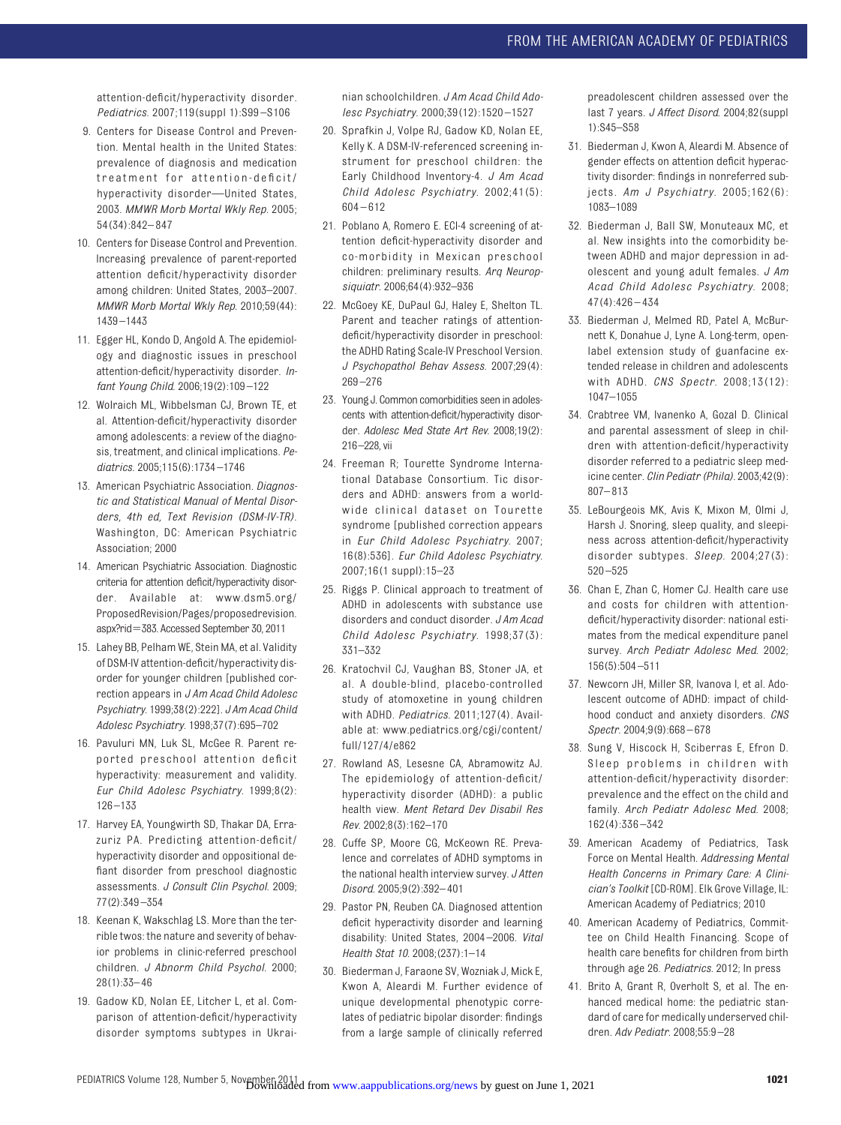attention-deficit/hyperactivity disorder. *Pediatrics*. 2007;119(suppl 1):S99 –S106

- 9. Centers for Disease Control and Prevention. Mental health in the United States: prevalence of diagnosis and medication treatment for attention-deficit/ hyperactivity disorder—United States, 2003. *MMWR Morb Mortal Wkly Rep*. 2005; 54(34):842– 847
- 10. Centers for Disease Control and Prevention. Increasing prevalence of parent-reported attention deficit/hyperactivity disorder among children: United States, 2003–2007. *MMWR Morb Mortal Wkly Rep*. 2010;59(44): 1439 –1443
- 11. Egger HL, Kondo D, Angold A. The epidemiology and diagnostic issues in preschool attention-deficit/hyperactivity disorder. *Infant Young Child*. 2006;19(2):109 –122
- 12. Wolraich ML, Wibbelsman CJ, Brown TE, et al. Attention-deficit/hyperactivity disorder among adolescents: a review of the diagnosis, treatment, and clinical implications. *Pediatrics*. 2005;115(6):1734 –1746
- 13. American Psychiatric Association. *Diagnostic and Statistical Manual of Mental Disorders, 4th ed, Text Revision (DSM-IV-TR)*. Washington, DC: American Psychiatric Association; 2000
- 14. American Psychiatric Association. Diagnostic criteria for attention deficit/hyperactivity disorder. Available at: [www.dsm5.org/](www.dsm5.org/ProposedRevision/Pages/proposedrevision.aspx?rid=383) [ProposedRevision/Pages/proposedrevision.](www.dsm5.org/ProposedRevision/Pages/proposedrevision.aspx?rid=383) [aspx?rid](www.dsm5.org/ProposedRevision/Pages/proposedrevision.aspx?rid=383)=383. Accessed September 30, 2011
- 15. Lahey BB, Pelham WE, Stein MA, et al. Validity of DSM-IV attention-deficit/hyperactivity disorder for younger children [published correction appears in *J Am Acad Child Adolesc Psychiatry*. 1999;38(2):222]. *J Am Acad Child Adolesc Psychiatry*. 1998;37(7):695–702
- 16. Pavuluri MN, Luk SL, McGee R. Parent reported preschool attention deficit hyperactivity: measurement and validity. *Eur Child Adolesc Psychiatry*. 1999;8(2): 126 –133
- 17. Harvey EA, Youngwirth SD, Thakar DA, Errazuriz PA. Predicting attention-deficit/ hyperactivity disorder and oppositional defiant disorder from preschool diagnostic assessments. *J Consult Clin Psychol*. 2009; 77(2):349 –354
- 18. Keenan K, Wakschlag LS. More than the terrible twos: the nature and severity of behavior problems in clinic-referred preschool children. *J Abnorm Child Psychol*. 2000; 28(1):33– 46
- 19. Gadow KD, Nolan EE, Litcher L, et al. Comparison of attention-deficit/hyperactivity disorder symptoms subtypes in Ukrai-

nian schoolchildren. *J Am Acad Child Adolesc Psychiatry*. 2000;39(12):1520 –1527

- 20. Sprafkin J, Volpe RJ, Gadow KD, Nolan EE, Kelly K. A DSM-IV-referenced screening instrument for preschool children: the Early Childhood Inventory-4. *J Am Acad Child Adolesc Psychiatry*. 2002;41(5): 604 – 612
- 21. Poblano A, Romero E. ECI-4 screening of attention deficit-hyperactivity disorder and co-morbidity in Mexican preschool children: preliminary results. *Arq Neuropsiquiatr*. 2006;64(4):932–936
- 22. McGoey KE, DuPaul GJ, Haley E, Shelton TL. Parent and teacher ratings of attentiondeficit/hyperactivity disorder in preschool: the ADHD Rating Scale-IV Preschool Version. *J Psychopathol Behav Assess*. 2007;29(4): 269 –276
- 23. Young J. Common comorbidities seen in adolescents with attention-deficit/hyperactivity disorder. *Adolesc Med State Art Rev*. 2008;19(2): 216–228, vii
- 24. Freeman R; Tourette Syndrome International Database Consortium. Tic disorders and ADHD: answers from a worldwide clinical dataset on Tourette syndrome [published correction appears in *Eur Child Adolesc Psychiatry*. 2007; 16(8):536]. *Eur Child Adolesc Psychiatry*. 2007;16(1 suppl):15–23
- 25. Riggs P. Clinical approach to treatment of ADHD in adolescents with substance use disorders and conduct disorder. *J Am Acad Child Adolesc Psychiatry*. 1998;37(3): 331–332
- 26. Kratochvil CJ, Vaughan BS, Stoner JA, et al. A double-blind, placebo-controlled study of atomoxetine in young children with ADHD. *Pediatrics*. 2011;127(4). Available at: [www.pediatrics.org/cgi/content/](www.pediatrics.org/cgi/content/full/127/4/e862) [full/127/4/e862](www.pediatrics.org/cgi/content/full/127/4/e862)
- 27. Rowland AS, Lesesne CA, Abramowitz AJ. The epidemiology of attention-deficit/ hyperactivity disorder (ADHD): a public health view. *Ment Retard Dev Disabil Res Rev*. 2002;8(3):162–170
- 28. Cuffe SP, Moore CG, McKeown RE. Prevalence and correlates of ADHD symptoms in the national health interview survey. *J Atten Disord*. 2005;9(2):392– 401
- 29. Pastor PN, Reuben CA. Diagnosed attention deficit hyperactivity disorder and learning disability: United States, 2004 –2006. *Vital Health Stat 10*. 2008;(237):1–14
- 30. Biederman J, Faraone SV, Wozniak J, Mick E, Kwon A, Aleardi M. Further evidence of unique developmental phenotypic correlates of pediatric bipolar disorder: findings from a large sample of clinically referred

preadolescent children assessed over the last 7 years. *J Affect Disord*. 2004;82(suppl 1):S45–S58

- 31. Biederman J, Kwon A, Aleardi M. Absence of gender effects on attention deficit hyperactivity disorder: findings in nonreferred subjects. *Am J Psychiatry*. 2005;162(6): 1083–1089
- 32. Biederman J, Ball SW, Monuteaux MC, et al. New insights into the comorbidity between ADHD and major depression in adolescent and young adult females. *J Am Acad Child Adolesc Psychiatry*. 2008; 47(4):426 – 434
- 33. Biederman J, Melmed RD, Patel A, McBurnett K, Donahue J, Lyne A. Long-term, openlabel extension study of guanfacine extended release in children and adolescents with ADHD. *CNS Spectr*. 2008;13(12): 1047–1055
- 34. Crabtree VM, Ivanenko A, Gozal D. Clinical and parental assessment of sleep in children with attention-deficit/hyperactivity disorder referred to a pediatric sleep medicine center. *Clin Pediatr (Phila)*. 2003;42(9): 807– 813
- 35. LeBourgeois MK, Avis K, Mixon M, Olmi J, Harsh J. Snoring, sleep quality, and sleepiness across attention-deficit/hyperactivity disorder subtypes. *Sleep*. 2004;27(3): 520 –525
- 36. Chan E, Zhan C, Homer CJ. Health care use and costs for children with attentiondeficit/hyperactivity disorder: national estimates from the medical expenditure panel survey. *Arch Pediatr Adolesc Med*. 2002; 156(5):504 –511
- 37. Newcorn JH, Miller SR, Ivanova I, et al. Adolescent outcome of ADHD: impact of childhood conduct and anxiety disorders. *CNS Spectr*. 2004;9(9):668 – 678
- 38. Sung V, Hiscock H, Sciberras E, Efron D. Sleep problems in children with attention-deficit/hyperactivity disorder: prevalence and the effect on the child and family. *Arch Pediatr Adolesc Med*. 2008; 162(4):336 –342
- 39. American Academy of Pediatrics, Task Force on Mental Health. *Addressing Mental Health Concerns in Primary Care: A Clinician's Toolkit* [CD-ROM]. Elk Grove Village, IL: American Academy of Pediatrics; 2010
- 40. American Academy of Pediatrics, Committee on Child Health Financing. Scope of health care benefits for children from birth through age 26. *Pediatrics*. 2012; In press
- 41. Brito A, Grant R, Overholt S, et al. The enhanced medical home: the pediatric standard of care for medically underserved children. *Adv Pediatr*. 2008;55:9 –28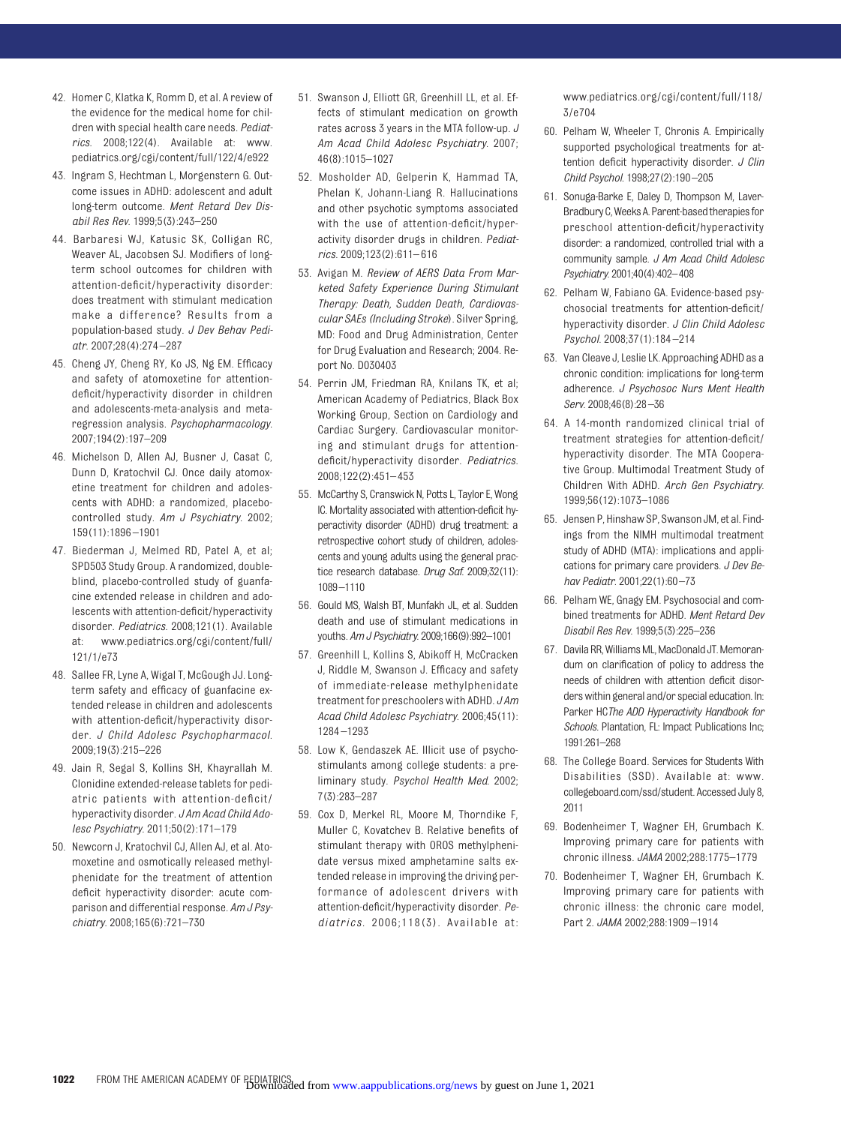- 42. Homer C, Klatka K, Romm D, et al. A review of the evidence for the medical home for children with special health care needs. *Pediatrics*. 2008;122(4). Available at: [www.](www.pediatrics.org/cgi/content/full/122/4/e922) [pediatrics.org/cgi/content/full/122/4/e922](www.pediatrics.org/cgi/content/full/122/4/e922)
- 43. Ingram S, Hechtman L, Morgenstern G. Outcome issues in ADHD: adolescent and adult long-term outcome. *Ment Retard Dev Disabil Res Rev*. 1999;5(3):243–250
- 44. Barbaresi WJ, Katusic SK, Colligan RC, Weaver AL, Jacobsen SJ. Modifiers of longterm school outcomes for children with attention-deficit/hyperactivity disorder: does treatment with stimulant medication make a difference? Results from a population-based study. *J Dev Behav Pediatr*. 2007;28(4):274 –287
- 45. Cheng JY, Cheng RY, Ko JS, Ng EM. Efficacy and safety of atomoxetine for attentiondeficit/hyperactivity disorder in children and adolescents-meta-analysis and metaregression analysis. *Psychopharmacology*. 2007;194(2):197–209
- 46. Michelson D, Allen AJ, Busner J, Casat C, Dunn D, Kratochvil CJ. Once daily atomoxetine treatment for children and adolescents with ADHD: a randomized, placebocontrolled study. *Am J Psychiatry*. 2002; 159(11):1896 –1901
- 47. Biederman J, Melmed RD, Patel A, et al; SPD503 Study Group. A randomized, doubleblind, placebo-controlled study of guanfacine extended release in children and adolescents with attention-deficit/hyperactivity disorder. *Pediatrics*. 2008;121(1). Available at: [www.pediatrics.org/cgi/content/full/](www.pediatrics.org/cgi/content/full/121/1/e73) [121/1/e73](www.pediatrics.org/cgi/content/full/121/1/e73)
- 48. Sallee FR, Lyne A, Wigal T, McGough JJ. Longterm safety and efficacy of guanfacine extended release in children and adolescents with attention-deficit/hyperactivity disorder. *J Child Adolesc Psychopharmacol*. 2009;19(3):215–226
- 49. Jain R, Segal S, Kollins SH, Khayrallah M. Clonidine extended-release tablets for pediatric patients with attention-deficit/ hyperactivity disorder. *J Am Acad Child Adolesc Psychiatry*. 2011;50(2):171–179
- 50. Newcorn J, Kratochvil CJ, Allen AJ, et al. Atomoxetine and osmotically released methylphenidate for the treatment of attention deficit hyperactivity disorder: acute comparison and differential response. *Am J Psychiatry*. 2008;165(6):721–730
- 51. Swanson J, Elliott GR, Greenhill LL, et al. Effects of stimulant medication on growth rates across 3 years in the MTA follow-up. *J Am Acad Child Adolesc Psychiatry*. 2007; 46(8):1015–1027
- 52. Mosholder AD, Gelperin K, Hammad TA, Phelan K, Johann-Liang R. Hallucinations and other psychotic symptoms associated with the use of attention-deficit/hyperactivity disorder drugs in children. *Pediatrics*. 2009;123(2):611– 616
- 53. Avigan M. *Review of AERS Data From Marketed Safety Experience During Stimulant Therapy: Death, Sudden Death, Cardiovascular SAEs (Including Stroke*). Silver Spring, MD: Food and Drug Administration, Center for Drug Evaluation and Research; 2004. Report No. D030403
- 54. Perrin JM, Friedman RA, Knilans TK, et al; American Academy of Pediatrics, Black Box Working Group, Section on Cardiology and Cardiac Surgery. Cardiovascular monitoring and stimulant drugs for attentiondeficit/hyperactivity disorder. *Pediatrics*. 2008;122(2):451– 453
- 55. McCarthy S, Cranswick N, Potts L, Taylor E, Wong IC. Mortality associated with attention-deficit hyperactivity disorder (ADHD) drug treatment: a retrospective cohort study of children, adolescents and young adults using the general practice research database. *Drug Saf*. 2009;32(11): 1089–1110
- 56. Gould MS, Walsh BT, Munfakh JL, et al. Sudden death and use of stimulant medications in youths. *Am J Psychiatry*. 2009;166(9):992–1001
- 57. Greenhill L, Kollins S, Abikoff H, McCracken J, Riddle M, Swanson J. Efficacy and safety of immediate-release methylphenidate treatment for preschoolers with ADHD. *J Am Acad Child Adolesc Psychiatry*. 2006;45(11): 1284 –1293
- 58. Low K, Gendaszek AE. Illicit use of psychostimulants among college students: a preliminary study. *Psychol Health Med*. 2002; 7(3):283–287
- 59. Cox D, Merkel RL, Moore M, Thorndike F, Muller C, Kovatchev B. Relative benefits of stimulant therapy with OROS methylphenidate versus mixed amphetamine salts extended release in improving the driving performance of adolescent drivers with attention-deficit/hyperactivity disorder. *Pediatrics*. 2006;118(3). Available at:

[www.pediatrics.org/cgi/content/full/118/](www.pediatrics.org/cgi/content/full/118/3/e704) [3/e704](www.pediatrics.org/cgi/content/full/118/3/e704)

- 60. Pelham W, Wheeler T, Chronis A. Empirically supported psychological treatments for attention deficit hyperactivity disorder. *J Clin Child Psychol*. 1998;27(2):190 –205
- 61. Sonuga-Barke E, Daley D, Thompson M, Laver-Bradbury C, Weeks A. Parent-based therapies for preschool attention-deficit/hyperactivity disorder: a randomized, controlled trial with a community sample. *J Am Acad Child Adolesc Psychiatry*. 2001;40(4):402–408
- 62. Pelham W, Fabiano GA. Evidence-based psychosocial treatments for attention-deficit/ hyperactivity disorder. *J Clin Child Adolesc Psychol*. 2008;37(1):184 –214
- 63. Van Cleave J, Leslie LK. Approaching ADHD as a chronic condition: implications for long-term adherence. *J Psychosoc Nurs Ment Health Serv*. 2008;46(8):28 –36
- 64. A 14-month randomized clinical trial of treatment strategies for attention-deficit/ hyperactivity disorder. The MTA Cooperative Group. Multimodal Treatment Study of Children With ADHD. *Arch Gen Psychiatry*. 1999;56(12):1073–1086
- 65. Jensen P, Hinshaw SP, Swanson JM, et al. Findings from the NIMH multimodal treatment study of ADHD (MTA): implications and applications for primary care providers. *J Dev Behav Pediatr*. 2001;22(1):60 –73
- 66. Pelham WE, Gnagy EM. Psychosocial and combined treatments for ADHD. *Ment Retard Dev Disabil Res Rev*. 1999;5(3):225–236
- 67. Davila RR, Williams ML, MacDonald JT. Memorandum on clarification of policy to address the needs of children with attention deficit disorders within general and/or special education. In: Parker HC*The ADD Hyperactivity Handbook for Schools.* Plantation, FL: Impact Publications Inc; 1991:261–268
- 68. The College Board. Services for Students With Disabilities (SSD). Available at: [www.](www.collegeboard.com/ssd/student) [collegeboard.com/ssd/student.](www.collegeboard.com/ssd/student) Accessed July 8, 2011
- 69. Bodenheimer T, Wagner EH, Grumbach K. Improving primary care for patients with chronic illness. *JAMA* 2002;288:1775–1779
- 70. Bodenheimer T, Wagner EH, Grumbach K. Improving primary care for patients with chronic illness: the chronic care model, Part 2. *JAMA* 2002;288:1909 –1914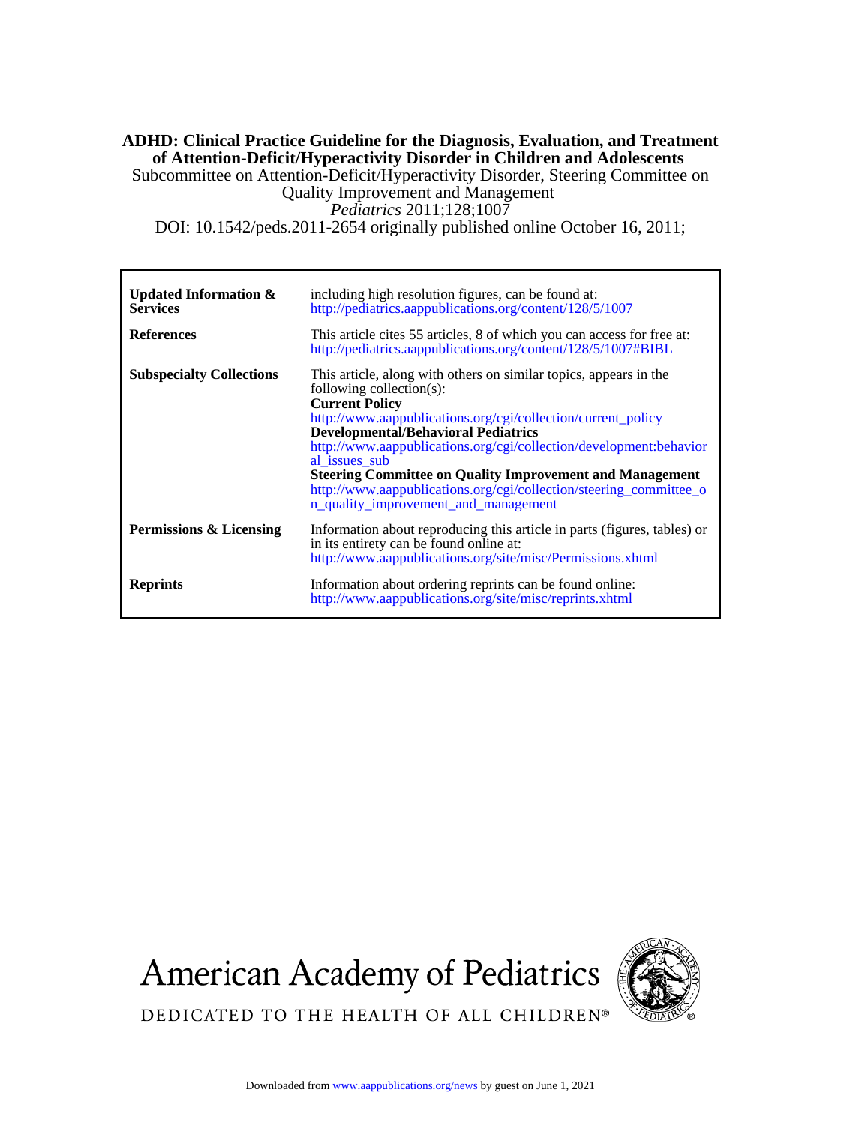## **of Attention-Deficit/Hyperactivity Disorder in Children and Adolescents ADHD: Clinical Practice Guideline for the Diagnosis, Evaluation, and Treatment**

*Pediatrics* 2011;128;1007 Quality Improvement and Management Subcommittee on Attention-Deficit/Hyperactivity Disorder, Steering Committee on

DOI: 10.1542/peds.2011-2654 originally published online October 16, 2011;

| Updated Information $\&$<br><b>Services</b><br><b>References</b> | including high resolution figures, can be found at:<br>http://pediatrics.aappublications.org/content/128/5/1007<br>This article cites 55 articles, 8 of which you can access for free at:<br>http://pediatrics.aappublications.org/content/128/5/1007#BIBL                                                                                                                                                                                                                                                   |
|------------------------------------------------------------------|--------------------------------------------------------------------------------------------------------------------------------------------------------------------------------------------------------------------------------------------------------------------------------------------------------------------------------------------------------------------------------------------------------------------------------------------------------------------------------------------------------------|
| <b>Subspecialty Collections</b>                                  | This article, along with others on similar topics, appears in the<br>following collection(s):<br><b>Current Policy</b><br>http://www.aappublications.org/cgi/collection/current_policy<br><b>Developmental/Behavioral Pediatrics</b><br>http://www.aappublications.org/cgi/collection/development:behavior<br>al issues sub<br><b>Steering Committee on Quality Improvement and Management</b><br>http://www.aappublications.org/cgi/collection/steering_committee_o<br>n_quality_improvement_and_management |
| Permissions & Licensing                                          | Information about reproducing this article in parts (figures, tables) or<br>in its entirety can be found online at:<br>http://www.aappublications.org/site/misc/Permissions.xhtml                                                                                                                                                                                                                                                                                                                            |
| <b>Reprints</b>                                                  | Information about ordering reprints can be found online:<br>http://www.aappublications.org/site/misc/reprints.xhtml                                                                                                                                                                                                                                                                                                                                                                                          |

**American Academy of Pediatrics** 



DEDICATED TO THE HEALTH OF ALL CHILDREN®